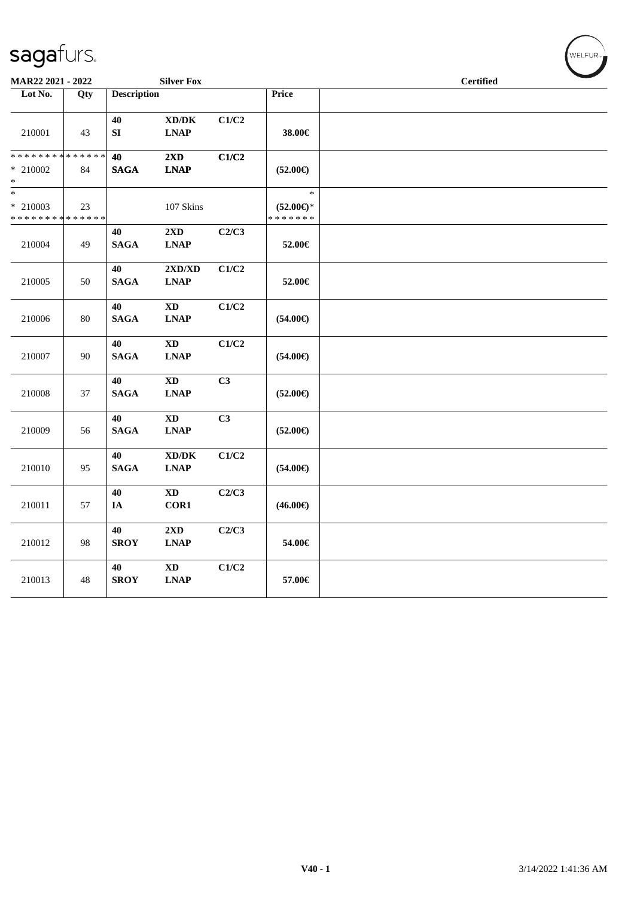| MAR22 2021 - 2022                                   |        |                        | <b>Silver Fox</b>                                                                 |       |                                                | <b>Certified</b> |  |
|-----------------------------------------------------|--------|------------------------|-----------------------------------------------------------------------------------|-------|------------------------------------------------|------------------|--|
| Lot No.                                             | Qty    | <b>Description</b>     |                                                                                   |       | Price                                          |                  |  |
| 210001                                              | 43     | 40<br>${\bf S}{\bf I}$ | $\bold{X}\bold{D}/\bold{D}\bold{K}$<br><b>LNAP</b>                                | C1/C2 | 38.00€                                         |                  |  |
| * * * * * * * * * * * * * *<br>$*$ 210002<br>$\ast$ | 84     | 40<br><b>SAGA</b>      | $2\mathbf{X}\mathbf{D}$<br><b>LNAP</b>                                            | C1/C2 | $(52.00\epsilon)$                              |                  |  |
| $\ast$<br>$*$ 210003<br>* * * * * * * * * * * * * * | 23     |                        | 107 Skins                                                                         |       | $\ast$<br>$(52.00\epsilon)$ *<br>* * * * * * * |                  |  |
| 210004                                              | 49     | 40<br><b>SAGA</b>      | $2{\bf X}{\bf D}$<br>$\mathbf{L}\mathbf{N}\mathbf{A}\mathbf{P}$                   | C2/C3 | 52.00€                                         |                  |  |
| 210005                                              | 50     | 40<br><b>SAGA</b>      | 2XD/XD<br><b>LNAP</b>                                                             | C1/C2 | 52.00€                                         |                  |  |
| 210006                                              | $80\,$ | 40<br><b>SAGA</b>      | <b>XD</b><br><b>LNAP</b>                                                          | C1/C2 | $(54.00\epsilon)$                              |                  |  |
| 210007                                              | 90     | 40<br><b>SAGA</b>      | <b>XD</b><br>$\mathbf{L}\mathbf{N}\mathbf{A}\mathbf{P}$                           | C1/C2 | $(54.00\epsilon)$                              |                  |  |
| 210008                                              | 37     | 40<br><b>SAGA</b>      | $\mathbf{X}\mathbf{D}$<br>$\mathbf{L}\mathbf{N}\mathbf{A}\mathbf{P}$              | C3    | $(52.00\epsilon)$                              |                  |  |
| 210009                                              | 56     | 40<br><b>SAGA</b>      | $\mathbf{X}\mathbf{D}$<br><b>LNAP</b>                                             | C3    | $(52.00\epsilon)$                              |                  |  |
| 210010                                              | 95     | 40<br><b>SAGA</b>      | $\bold{X}\bold{D}/\bold{D}\bold{K}$<br>$\mathbf{L}\mathbf{N}\mathbf{A}\mathbf{P}$ | C1/C2 | $(54.00\epsilon)$                              |                  |  |
| 210011                                              | 57     | 40<br>IA               | $\mathbf{X}\mathbf{D}$<br>COR1                                                    | C2/C3 | $(46.00\epsilon)$                              |                  |  |
| 210012                                              | 98     | 40<br><b>SROY</b>      | 2XD<br><b>LNAP</b>                                                                | C2/C3 | 54.00€                                         |                  |  |
| 210013                                              | 48     | 40<br><b>SROY</b>      | $\mathbf{X}\mathbf{D}$<br><b>LNAP</b>                                             | C1/C2 | 57.00€                                         |                  |  |

WELFUR<sub><sup>N</sup></sub>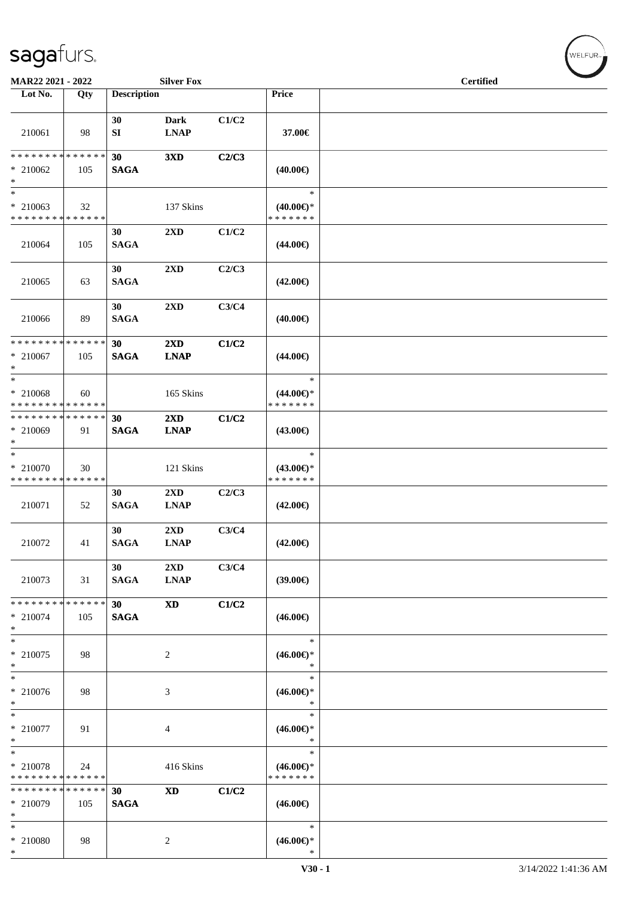| <b>MAR22 2021 - 2022</b>                                            |                    |                    | <b>Silver Fox</b>           |       |                                                | <b>Certified</b> |  |
|---------------------------------------------------------------------|--------------------|--------------------|-----------------------------|-------|------------------------------------------------|------------------|--|
| Lot No.                                                             | Qty                | <b>Description</b> |                             |       | Price                                          |                  |  |
| 210061                                                              | 98                 | 30<br>SI           | <b>Dark</b><br><b>LNAP</b>  | C1/C2 | 37.00€                                         |                  |  |
| * * * * * * * * * * * * * *<br>$* 210062$<br>$\ast$                 | 105                | 30<br><b>SAGA</b>  | 3XD                         | C2/C3 | $(40.00\epsilon)$                              |                  |  |
| $\ast$<br>$* 210063$<br>* * * * * * * * * * * * * *                 | 32                 |                    | 137 Skins                   |       | $\ast$<br>$(40.00\epsilon)$ *<br>* * * * * * * |                  |  |
| 210064                                                              | 105                | 30<br><b>SAGA</b>  | 2XD                         | C1/C2 | $(44.00\epsilon)$                              |                  |  |
| 210065                                                              | 63                 | 30<br><b>SAGA</b>  | 2XD                         | C2/C3 | $(42.00\epsilon)$                              |                  |  |
| 210066                                                              | 89                 | 30<br><b>SAGA</b>  | 2XD                         | C3/C4 | $(40.00\epsilon)$                              |                  |  |
| * * * * * * * * * * * * * * *<br>$* 210067$<br>$\ast$               | 105                | 30<br><b>SAGA</b>  | 2XD<br><b>LNAP</b>          | C1/C2 | $(44.00\epsilon)$                              |                  |  |
| $\overline{\phantom{0}}$<br>* 210068<br>* * * * * * * * * * * * * * | 60                 |                    | 165 Skins                   |       | $\ast$<br>$(44.00€)$ *<br>* * * * * * *        |                  |  |
| * * * * * * * * * * * * * *<br>* 210069<br>$*$                      | 91                 | 30<br><b>SAGA</b>  | 2XD<br><b>LNAP</b>          | C1/C2 | $(43.00\epsilon)$                              |                  |  |
| $*$<br>* 210070<br>* * * * * * * * * * * * * *                      | 30                 |                    | 121 Skins                   |       | $\ast$<br>$(43.00\epsilon)$ *<br>* * * * * * * |                  |  |
| 210071                                                              | 52                 | 30<br><b>SAGA</b>  | 2XD<br><b>LNAP</b>          | C2/C3 | $(42.00\epsilon)$                              |                  |  |
| 210072                                                              | 41                 | 30<br><b>SAGA</b>  | 2XD<br><b>LNAP</b>          | C3/C4 | $(42.00\epsilon)$                              |                  |  |
| 210073                                                              | 31                 | 30<br><b>SAGA</b>  | 2XD<br><b>LNAP</b>          | C3/C4 | (39.00)                                        |                  |  |
| * * * * * * * *<br>$* 210074$<br>$\ast$                             | * * * * * *<br>105 | 30<br><b>SAGA</b>  | <b>XD</b>                   | C1/C2 | $(46.00\epsilon)$                              |                  |  |
| $*$<br>$*$ 210075<br>$*$                                            | 98                 |                    | 2                           |       | $\ast$<br>$(46.00\epsilon)$ *<br>$\ast$        |                  |  |
| $\ast$<br>$* 210076$<br>$*$                                         | 98                 |                    | $\ensuremath{\mathfrak{Z}}$ |       | $\ast$<br>$(46.00\epsilon)$ *<br>$\ast$        |                  |  |
| $*$<br>$*$ 210077<br>$\ast$                                         | 91                 |                    | 4                           |       | $\ast$<br>$(46.00\epsilon)$ *<br>$\ast$        |                  |  |
| $\ast$<br>* 210078<br>* * * * * * * * * * * * * *                   | 24                 |                    | 416 Skins                   |       | $\ast$<br>$(46.00\epsilon)$ *<br>* * * * * * * |                  |  |
| * * * * * * * *<br>* 210079<br>$\ast$                               | * * * * * *<br>105 | 30<br><b>SAGA</b>  | <b>XD</b>                   | C1/C2 | $(46.00\epsilon)$                              |                  |  |
| $\ast$<br>* 210080<br>$\ast$                                        | 98                 |                    | $\overline{c}$              |       | $\ast$<br>$(46.00\epsilon)$ *<br>$\ast$        |                  |  |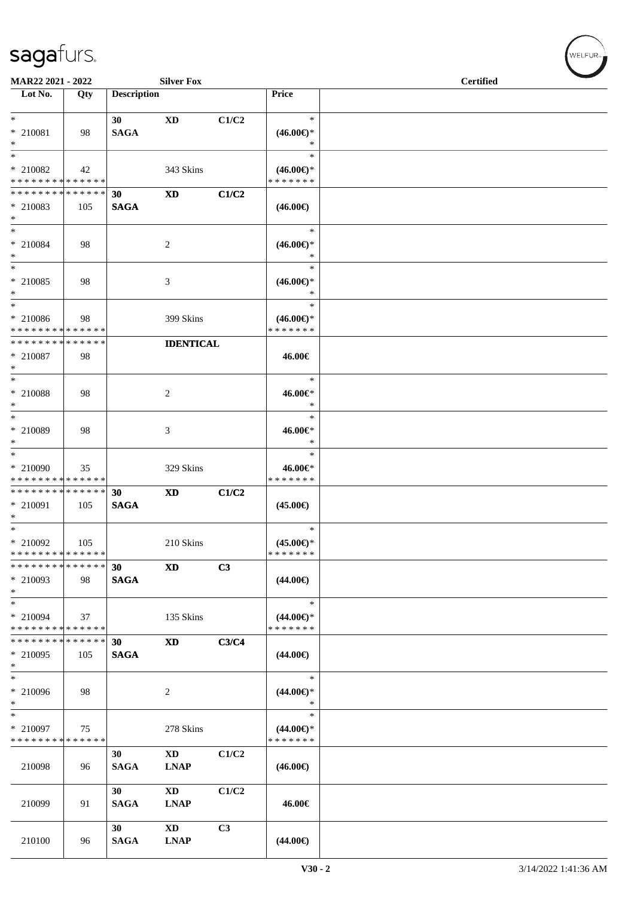| MAR22 2021 - 2022                                            |     |                    | <b>Silver Fox</b>            |       |                                      | <b>Certified</b> |  |
|--------------------------------------------------------------|-----|--------------------|------------------------------|-------|--------------------------------------|------------------|--|
| Lot No.                                                      | Qty | <b>Description</b> |                              |       | <b>Price</b>                         |                  |  |
|                                                              |     |                    |                              |       |                                      |                  |  |
| $*$                                                          |     | 30                 | XD                           | C1/C2 | $\ast$                               |                  |  |
| * 210081                                                     | 98  | <b>SAGA</b>        |                              |       | $(46.00\epsilon)$ *                  |                  |  |
| $*$                                                          |     |                    |                              |       | $\ast$                               |                  |  |
| $*$                                                          |     |                    |                              |       | $\ast$                               |                  |  |
| * 210082                                                     | 42  |                    | 343 Skins                    |       | $(46.00\epsilon)$ *<br>* * * * * * * |                  |  |
| * * * * * * * * * * * * * *<br>* * * * * * * * * * * * * * * |     |                    |                              |       |                                      |                  |  |
|                                                              |     | 30                 | XD                           | C1/C2 |                                      |                  |  |
| $*$ 210083<br>$*$                                            | 105 | <b>SAGA</b>        |                              |       | $(46.00\epsilon)$                    |                  |  |
| $*$                                                          |     |                    |                              |       | $\ast$                               |                  |  |
| * 210084                                                     | 98  |                    | 2                            |       | $(46.00\epsilon)$ *                  |                  |  |
| $*$                                                          |     |                    |                              |       | $\ast$                               |                  |  |
| $*$ $-$                                                      |     |                    |                              |       | $\ast$                               |                  |  |
| * 210085                                                     | 98  |                    | 3                            |       | $(46.00\epsilon)$ *                  |                  |  |
| $\ast$                                                       |     |                    |                              |       | $\ast$                               |                  |  |
| $*$                                                          |     |                    |                              |       | $\ast$                               |                  |  |
| $* 210086$                                                   | 98  |                    | 399 Skins                    |       | $(46.00\epsilon)$ *                  |                  |  |
| * * * * * * * * * * * * * *                                  |     |                    |                              |       | * * * * * * *                        |                  |  |
| * * * * * * * * * * * * * *                                  |     |                    | <b>IDENTICAL</b>             |       |                                      |                  |  |
| $* 210087$                                                   | 98  |                    |                              |       | 46.00€                               |                  |  |
| $*$                                                          |     |                    |                              |       |                                      |                  |  |
| $*$                                                          |     |                    |                              |       | $\ast$                               |                  |  |
| * 210088                                                     | 98  |                    | 2                            |       | 46.00€*                              |                  |  |
| $*$                                                          |     |                    |                              |       | $\ast$                               |                  |  |
| $\overline{\ast}$                                            |     |                    |                              |       | $\ast$                               |                  |  |
| * 210089                                                     | 98  |                    | 3                            |       | 46.00€*                              |                  |  |
| $\ast$                                                       |     |                    |                              |       | $\ast$                               |                  |  |
| $*$                                                          |     |                    |                              |       | $\ast$                               |                  |  |
| * 210090                                                     | 35  |                    | 329 Skins                    |       | 46.00€*                              |                  |  |
| * * * * * * * * * * * * * *<br>* * * * * * * * * * * * * *   |     |                    |                              |       | * * * * * * *                        |                  |  |
|                                                              |     | 30                 | <b>XD</b>                    | C1/C2 |                                      |                  |  |
| * 210091<br>$\ast$                                           | 105 | <b>SAGA</b>        |                              |       | $(45.00\epsilon)$                    |                  |  |
| $*$                                                          |     |                    |                              |       | $\ast$                               |                  |  |
| * 210092                                                     | 105 |                    | 210 Skins                    |       | $(45.00\epsilon)$ *                  |                  |  |
| * * * * * * * * * * * * * * *                                |     |                    |                              |       | * * * * * * *                        |                  |  |
| * * * * * * * * * * * * * * *                                |     | 30                 | <b>XD</b>                    | C3    |                                      |                  |  |
| $*$ 210093                                                   | 98  | <b>SAGA</b>        |                              |       | $(44.00\epsilon)$                    |                  |  |
| $*$                                                          |     |                    |                              |       |                                      |                  |  |
| $*$                                                          |     |                    |                              |       | $\ast$                               |                  |  |
| * 210094                                                     | 37  |                    | 135 Skins                    |       | $(44.00\epsilon)$ *                  |                  |  |
| * * * * * * * * * * * * * *                                  |     |                    |                              |       | * * * * * * *                        |                  |  |
| * * * * * * * * * * * * * * *                                |     | 30                 | <b>XD</b>                    | C3/C4 |                                      |                  |  |
| $*$ 210095                                                   | 105 | <b>SAGA</b>        |                              |       | $(44.00\epsilon)$                    |                  |  |
| $\ast$                                                       |     |                    |                              |       |                                      |                  |  |
| $*$                                                          |     |                    |                              |       | $\ast$                               |                  |  |
| * 210096                                                     | 98  |                    | 2                            |       | $(44.00\epsilon)$ *                  |                  |  |
| $*$                                                          |     |                    |                              |       | $\ast$                               |                  |  |
| $\ast$                                                       |     |                    |                              |       | $\ast$                               |                  |  |
| * 210097                                                     | 75  |                    | 278 Skins                    |       | $(44.00€)$ *                         |                  |  |
| * * * * * * * * * * * * * *                                  |     |                    |                              |       | * * * * * * *                        |                  |  |
|                                                              |     | 30                 | $\mathbf{X}\mathbf{D}$       | C1/C2 |                                      |                  |  |
| 210098                                                       | 96  | <b>SAGA</b>        | <b>LNAP</b>                  |       | $(46.00\epsilon)$                    |                  |  |
|                                                              |     | 30                 | XD                           | C1/C2 |                                      |                  |  |
| 210099                                                       | 91  | <b>SAGA</b>        | <b>LNAP</b>                  |       | 46.00€                               |                  |  |
|                                                              |     |                    |                              |       |                                      |                  |  |
|                                                              |     | 30                 | XD                           | C3    |                                      |                  |  |
| 210100                                                       | 96  | <b>SAGA</b>        | $\ensuremath{\text{L}N\!AP}$ |       | $(44.00\epsilon)$                    |                  |  |
|                                                              |     |                    |                              |       |                                      |                  |  |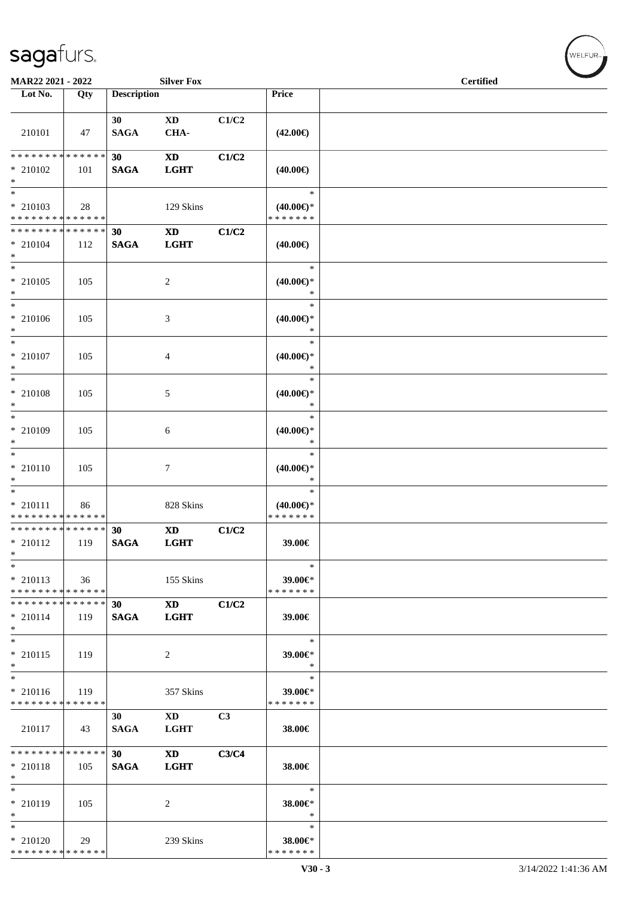| MAR22 2021 - 2022                                                     |     |                                | <b>Silver Fox</b>                     |       |                                                | $\sim$<br><b>Certified</b> |
|-----------------------------------------------------------------------|-----|--------------------------------|---------------------------------------|-------|------------------------------------------------|----------------------------|
| $\overline{\phantom{1}}$ Lot No.                                      | Qty | <b>Description</b>             |                                       |       | Price                                          |                            |
| 210101                                                                | 47  | 30<br><b>SAGA</b>              | $\mathbf{X}\mathbf{D}$<br>CHA-        | C1/C2 | $(42.00\epsilon)$                              |                            |
| * * * * * * * * * * * * * *<br>* 210102<br>$*$                        | 101 | 30<br><b>SAGA</b>              | <b>XD</b><br><b>LGHT</b>              | C1/C2 | $(40.00\epsilon)$                              |                            |
| $*$<br>$*$ 210103<br>* * * * * * * * * * * * * *                      | 28  |                                | 129 Skins                             |       | $\ast$<br>$(40.00\epsilon)$ *<br>* * * * * * * |                            |
| * * * * * * * * * * * * * * *<br>$* 210104$<br>$*$                    | 112 | 30<br>$\mathbf{SAGA}$          | $\mathbf{X}\mathbf{D}$<br><b>LGHT</b> | C1/C2 | $(40.00\epsilon)$                              |                            |
| $*$<br>$* 210105$<br>$*$                                              | 105 |                                | $\overline{c}$                        |       | $\ast$<br>$(40.00\epsilon)$ *<br>$\ast$        |                            |
| $*$<br>$* 210106$<br>$*$                                              | 105 |                                | 3                                     |       | $\ast$<br>$(40.00\epsilon)$ *<br>$\ast$        |                            |
| $*$<br>$*$ 210107<br>$*$                                              | 105 |                                | 4                                     |       | $\ast$<br>$(40.00\epsilon)$ *<br>$\ast$        |                            |
| $\overline{\phantom{0}}$<br>$* 210108$<br>$*$                         | 105 |                                | 5                                     |       | $\ast$<br>$(40.00\epsilon)$ *<br>$\ast$        |                            |
| $*$<br>* 210109<br>$*$                                                | 105 |                                | 6                                     |       | $\ast$<br>$(40.00\epsilon)$ *<br>$\ast$        |                            |
| $*$<br>$* 210110$<br>$\ast$                                           | 105 |                                | $\tau$                                |       | $\ast$<br>$(40.00\epsilon)$ *<br>$\ast$        |                            |
| $*$<br>$* 210111$<br>* * * * * * * * * * * * * *                      | 86  |                                | 828 Skins                             |       | $\ast$<br>$(40.00\epsilon)$ *<br>* * * * * * * |                            |
| * * * * * * * * * * * * * *<br>* 210112<br>$\ast$                     | 119 | 30<br><b>SAGA</b>              | <b>XD</b><br><b>LGHT</b>              | C1/C2 | 39.00€                                         |                            |
| $\ast$<br>$* 210113$<br>* * * * * * * * * * * * * *                   | 36  |                                | 155 Skins                             |       | $\ast$<br>39.00€*<br>* * * * * * *             |                            |
| * * * * * * * * * * * * * * *<br>$* 210114$<br>$*$                    | 119 | 30<br><b>SAGA</b>              | <b>XD</b><br><b>LGHT</b>              | C1/C2 | 39.00€                                         |                            |
| $*$<br>$* 210115$<br>$*$                                              | 119 |                                | 2                                     |       | $\ast$<br>39.00€*<br>$\ast$                    |                            |
| $\overline{\phantom{0}}$<br>$* 210116$<br>* * * * * * * * * * * * * * | 119 |                                | 357 Skins                             |       | $\ast$<br>39.00€*<br>* * * * * * *             |                            |
| 210117                                                                | 43  | 30<br><b>SAGA</b>              | $\mathbf{X}\mathbf{D}$<br><b>LGHT</b> | C3    | 38.00€                                         |                            |
| * * * * * * * * * * * * * *<br>$* 210118$<br>$*$                      | 105 | 30 <sup>1</sup><br><b>SAGA</b> | <b>XD</b><br><b>LGHT</b>              | C3/C4 | 38.00€                                         |                            |
| $*$<br>* 210119<br>$*$                                                | 105 |                                | 2                                     |       | $\ast$<br>38.00€*<br>$\ast$                    |                            |
| $*$<br>$*$ 210120<br>* * * * * * * * * * * * * *                      | 29  |                                | 239 Skins                             |       | $\ast$<br>38.00€*<br>* * * * * * *             |                            |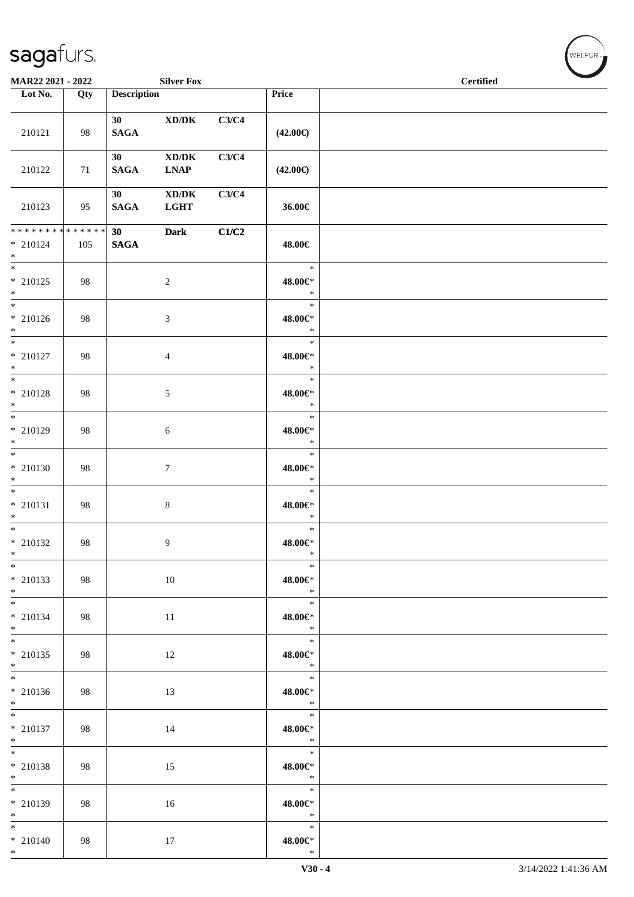| MAR22 2021 - 2022                                     |     |                                | <b>Silver Fox</b>                                          |       |                                        | <b>Certified</b> | $\sim$ |
|-------------------------------------------------------|-----|--------------------------------|------------------------------------------------------------|-------|----------------------------------------|------------------|--------|
| Lot No.                                               | Qty | <b>Description</b>             |                                                            |       | Price                                  |                  |        |
| 210121                                                | 98  | 30<br><b>SAGA</b>              | $\mathbf{X}\mathbf{D}/\mathbf{D}\mathbf{K}$                | C3/C4 | $(42.00\epsilon)$                      |                  |        |
| 210122                                                | 71  | 30 <sup>1</sup><br><b>SAGA</b> | $\bold{X}\bold{D}/\bold{D}\bold{K}$<br><b>LNAP</b>         | C3/C4 | $(42.00\epsilon)$                      |                  |        |
| 210123                                                | 95  | 30 <sup>1</sup><br><b>SAGA</b> | $\mathbf{X}\mathbf{D}/\mathbf{D}\mathbf{K}$<br><b>LGHT</b> | C3/C4 | 36.00€                                 |                  |        |
| * * * * * * * * * * * * * * *<br>$* 210124$<br>$*$    | 105 | 30<br><b>SAGA</b>              | <b>Dark</b>                                                | C1/C2 | 48.00€                                 |                  |        |
| $*$<br>$*$ 210125<br>$*$                              | 98  |                                | $\boldsymbol{2}$                                           |       | $\ast$<br>48.00€*<br>$\ast$            |                  |        |
| $*$<br>$* 210126$<br>$*$                              | 98  |                                | 3                                                          |       | $\ast$<br>48.00€*<br>$\ast$            |                  |        |
| $*$<br>* 210127<br>$*$                                | 98  |                                | $\overline{4}$                                             |       | $\ast$<br>48.00€*<br>$\ast$            |                  |        |
| $\overline{\ast}$<br>* 210128<br>$*$                  | 98  |                                | $\mathfrak{S}$                                             |       | $\ast$<br>48.00€*<br>$\ast$            |                  |        |
| $*$<br>$*$ 210129<br>$*$                              | 98  |                                | 6                                                          |       | $\ast$<br>48.00€*<br>$\ast$            |                  |        |
| $*$<br>$* 210130$<br>$*$                              | 98  |                                | $\tau$                                                     |       | $\ast$<br>48.00€*<br>$\ast$            |                  |        |
| $\overline{\ }$<br>$* 210131$<br>$*$                  | 98  |                                | $8\,$                                                      |       | $\ast$<br>48.00€*<br>$\ast$            |                  |        |
| $*$<br>* 210132<br>$\ast$<br>$\overline{\phantom{0}}$ | 98  |                                | 9                                                          |       | $\ast$<br>48.00€*<br>$\ast$            |                  |        |
| * 210133<br>$*$                                       | 98  |                                | 10                                                         |       | $\ast$<br>48.00€*<br>$\ast$            |                  |        |
| $* 210134$<br>$*$                                     | 98  |                                | 11                                                         |       | $\ast$<br>48.00€*<br>$\ast$            |                  |        |
| $*$<br>$*$ 210135<br>$*$                              | 98  |                                | 12                                                         |       | $\ast$<br>48.00€*<br>$\ast$            |                  |        |
| $*$<br>$* 210136$<br>$*$                              | 98  |                                | 13                                                         |       | $\ast$<br>48.00€*<br>$\ast$            |                  |        |
| $\overline{\phantom{0}}$<br>$*$ 210137<br>$*$         | 98  |                                | 14                                                         |       | $\ast$<br>48.00€*<br>$\ast$            |                  |        |
| $*$<br>$*$ 210138<br>$*$                              | 98  |                                | 15                                                         |       | $\ast$<br>48.00€*<br>$\ast$            |                  |        |
| $*$<br>* 210139<br>$*$                                | 98  |                                | 16                                                         |       | $\ast$<br>48.00€*<br>$\ast$            |                  |        |
| $*$<br>$* 210140$<br>$*$                              | 98  |                                | 17                                                         |       | $\ast$<br>$48.00 \text{E}^*$<br>$\ast$ |                  |        |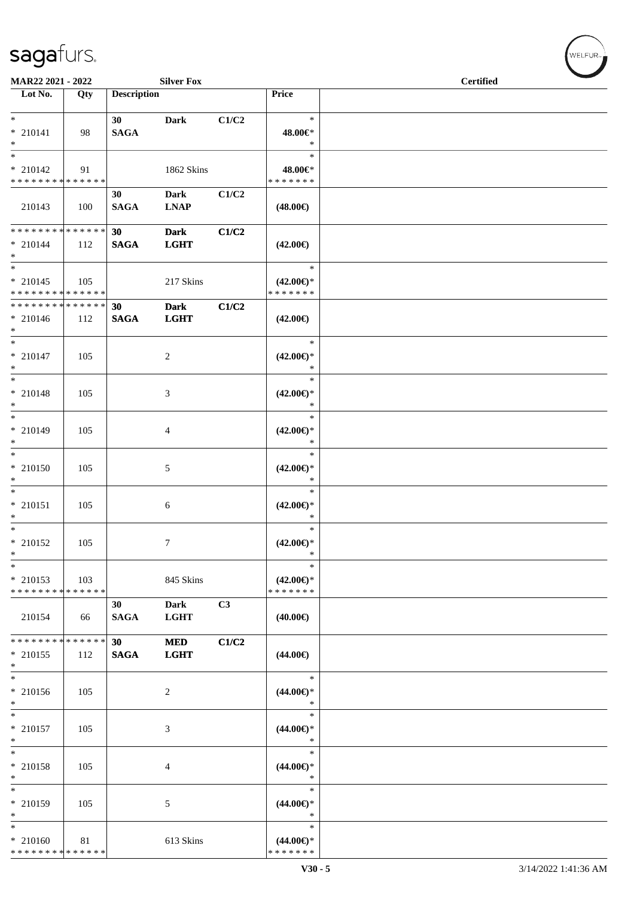| MAR22 2021 - 2022                                               |     |                    | <b>Silver Fox</b>          |                |                                                | <b>Certified</b> |  |
|-----------------------------------------------------------------|-----|--------------------|----------------------------|----------------|------------------------------------------------|------------------|--|
| $\overline{\phantom{1}}$ Lot No.                                | Qty | <b>Description</b> |                            |                | Price                                          |                  |  |
| $*$<br>$*$ 210141<br>$*$                                        | 98  | 30<br><b>SAGA</b>  | Dark                       | C1/C2          | $\ast$<br>48.00€*<br>$\ast$                    |                  |  |
| $*$<br>$* 210142$<br>* * * * * * * * * * * * * *                | 91  |                    | 1862 Skins                 |                | $\ast$<br>48.00€*<br>* * * * * * *             |                  |  |
| 210143                                                          | 100 | 30<br><b>SAGA</b>  | <b>Dark</b><br><b>LNAP</b> | C1/C2          | $(48.00\epsilon)$                              |                  |  |
| * * * * * * * * * * * * * * *<br>$* 210144$<br>$*$              | 112 | 30<br><b>SAGA</b>  | <b>Dark</b><br><b>LGHT</b> | C1/C2          | $(42.00\epsilon)$                              |                  |  |
| $*$<br>$* 210145$<br>* * * * * * * * <mark>* * * * * * *</mark> | 105 |                    | 217 Skins                  |                | $\ast$<br>$(42.00\epsilon)$ *<br>* * * * * * * |                  |  |
| * * * * * * * * * * * * * * *<br>$* 210146$<br>$*$              | 112 | 30<br><b>SAGA</b>  | <b>Dark</b><br><b>LGHT</b> | C1/C2          | $(42.00\epsilon)$                              |                  |  |
| $*$<br>$* 210147$<br>$\ast$                                     | 105 |                    | 2                          |                | $\ast$<br>$(42.00\epsilon)$ *<br>$\ast$        |                  |  |
| $\overline{\ast}$<br>$*$ 210148<br>$*$                          | 105 |                    | 3                          |                | $\ast$<br>$(42.00\epsilon)$ *<br>$\ast$        |                  |  |
| $* 210149$<br>$*$                                               | 105 |                    | 4                          |                | $\ast$<br>$(42.00\epsilon)$ *<br>$\ast$        |                  |  |
| $*$<br>$* 210150$<br>$*$                                        | 105 |                    | 5                          |                | $\ast$<br>$(42.00\epsilon)$ *<br>$\ast$        |                  |  |
| $*$<br>$* 210151$<br>$*$                                        | 105 |                    | 6                          |                | $\ast$<br>$(42.00\epsilon)$ *<br>$\ast$        |                  |  |
| $\overline{\phantom{0}}$<br>$*$ 210152<br>$\ast$                | 105 |                    | 7                          |                | $\ast$<br>$(42.00\epsilon)$ *<br>$\ast$        |                  |  |
| $\ast$<br>$*$ 210153<br>* * * * * * * * * * * * * *             | 103 |                    | 845 Skins                  |                | $\ast$<br>$(42.00\epsilon)$ *<br>* * * * * * * |                  |  |
| 210154                                                          | 66  | 30<br><b>SAGA</b>  | <b>Dark</b><br><b>LGHT</b> | C <sub>3</sub> | $(40.00\epsilon)$                              |                  |  |
| * * * * * * * * * * * * * *<br>$* 210155$<br>$*$                | 112 | 30<br><b>SAGA</b>  | <b>MED</b><br><b>LGHT</b>  | C1/C2          | $(44.00\epsilon)$                              |                  |  |
| $*$<br>$* 210156$<br>$*$                                        | 105 |                    | $\overline{c}$             |                | $\ast$<br>$(44.00\epsilon)$ *<br>$\ast$        |                  |  |
| $*$<br>$* 210157$<br>$*$                                        | 105 |                    | 3                          |                | $\ast$<br>$(44.00\epsilon)$ *<br>$\ast$        |                  |  |
| $*$<br>* 210158<br>$*$                                          | 105 |                    | 4                          |                | $\ast$<br>$(44.00\epsilon)$ *<br>$\ast$        |                  |  |
| $*$<br>* 210159<br>$*$                                          | 105 |                    | 5                          |                | $\ast$<br>$(44.00\epsilon)$ *<br>$\ast$        |                  |  |
| $*$<br>* 210160<br>******** <mark>******</mark>                 | 81  |                    | 613 Skins                  |                | $\ast$<br>$(44.00\epsilon)$ *<br>* * * * * * * |                  |  |

,<br>WELFUR<sub>™</sub>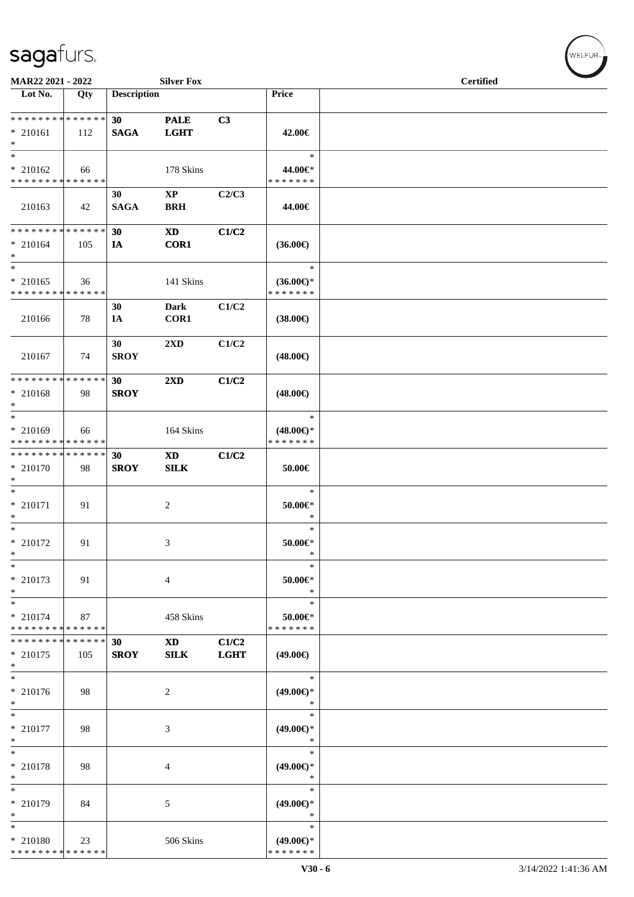| MAR22 2021 - 2022                                   |     |                    | <b>Silver Fox</b>                    |                      |                                                | $\sim$<br><b>Certified</b> |
|-----------------------------------------------------|-----|--------------------|--------------------------------------|----------------------|------------------------------------------------|----------------------------|
| Lot No.                                             | Qty | <b>Description</b> |                                      |                      | Price                                          |                            |
| * * * * * * * * * * * * * *<br>$* 210161$<br>$\ast$ | 112 | 30<br><b>SAGA</b>  | <b>PALE</b><br><b>LGHT</b>           | C3                   | 42.00€                                         |                            |
| $\ast$<br>$* 210162$<br>* * * * * * * * * * * * * * | 66  |                    | 178 Skins                            |                      | $\ast$<br>44.00€*<br>* * * * * * *             |                            |
| 210163                                              | 42  | 30<br><b>SAGA</b>  | $\mathbf{X}\mathbf{P}$<br><b>BRH</b> | C2/C3                | 44.00€                                         |                            |
| * * * * * * * * * * * * * *<br>$* 210164$<br>$*$    | 105 | 30<br>IA           | <b>XD</b><br><b>COR1</b>             | C1/C2                | $(36.00\epsilon)$                              |                            |
| $\ast$<br>$* 210165$<br>* * * * * * * * * * * * * * | 36  |                    | 141 Skins                            |                      | $\ast$<br>$(36.00\epsilon)$ *<br>* * * * * * * |                            |
| 210166                                              | 78  | 30<br>IA           | <b>Dark</b><br>COR1                  | C1/C2                | $(38.00\epsilon)$                              |                            |
| 210167                                              | 74  | 30<br><b>SROY</b>  | $2\mathbf{X}\mathbf{D}$              | C1/C2                | $(48.00\epsilon)$                              |                            |
| * * * * * * * * * * * * * *<br>* 210168<br>$*$      | 98  | 30<br><b>SROY</b>  | $2\mathbf{X}\mathbf{D}$              | C1/C2                | $(48.00\epsilon)$                              |                            |
| $*$<br>* 210169<br>* * * * * * * * * * * * * *      | 66  |                    | 164 Skins                            |                      | $\ast$<br>$(48.00\epsilon)$ *<br>* * * * * * * |                            |
| * * * * * * * * * * * * * *<br>* 210170<br>$\ast$   | 98  | 30<br><b>SROY</b>  | <b>XD</b><br><b>SILK</b>             | C1/C2                | $50.00\in$                                     |                            |
| $*$<br>$* 210171$<br>$\ast$                         | 91  |                    | $\overline{c}$                       |                      | $\ast$<br>$50.00 \in$ *<br>$\ast$              |                            |
| $*$<br>$* 210172$<br>$\ast$                         | 91  |                    | 3                                    |                      | $\ast$<br>$50.00 \in$ *<br>$\ast$              |                            |
| $\ast$<br>* 210173<br>$\ast$                        | 91  |                    | $\overline{4}$                       |                      | $\ast$<br>$50.00 \in$<br>$\ast$                |                            |
| $\ast$<br>* 210174<br>* * * * * * * * * * * * * *   | 87  |                    | 458 Skins                            |                      | $\ast$<br>$50.00 \in$<br>* * * * * * *         |                            |
| * * * * * * * * * * * * * *<br>$* 210175$<br>$*$    | 105 | 30<br><b>SROY</b>  | <b>XD</b><br><b>SILK</b>             | C1/C2<br><b>LGHT</b> | $(49.00\epsilon)$                              |                            |
| $\ast$<br>* 210176<br>$\ast$                        | 98  |                    | 2                                    |                      | $\ast$<br>$(49.00\epsilon)$ *<br>$\ast$        |                            |
| $\ast$<br>* 210177<br>$\ast$                        | 98  |                    | 3                                    |                      | $\ast$<br>$(49.00\epsilon)$ *<br>$\ast$        |                            |
| $\ast$<br>* 210178<br>$\ast$                        | 98  |                    | 4                                    |                      | $\ast$<br>$(49.00\epsilon)$ *<br>$\ast$        |                            |
| $\ast$<br>* 210179<br>$\ast$                        | 84  |                    | 5                                    |                      | $\ast$<br>$(49.00\epsilon)$ *<br>∗             |                            |
| $\ast$<br>* 210180<br>* * * * * * * * * * * * * *   | 23  |                    | 506 Skins                            |                      | $\ast$<br>$(49.00\epsilon)$ *<br>* * * * * * * |                            |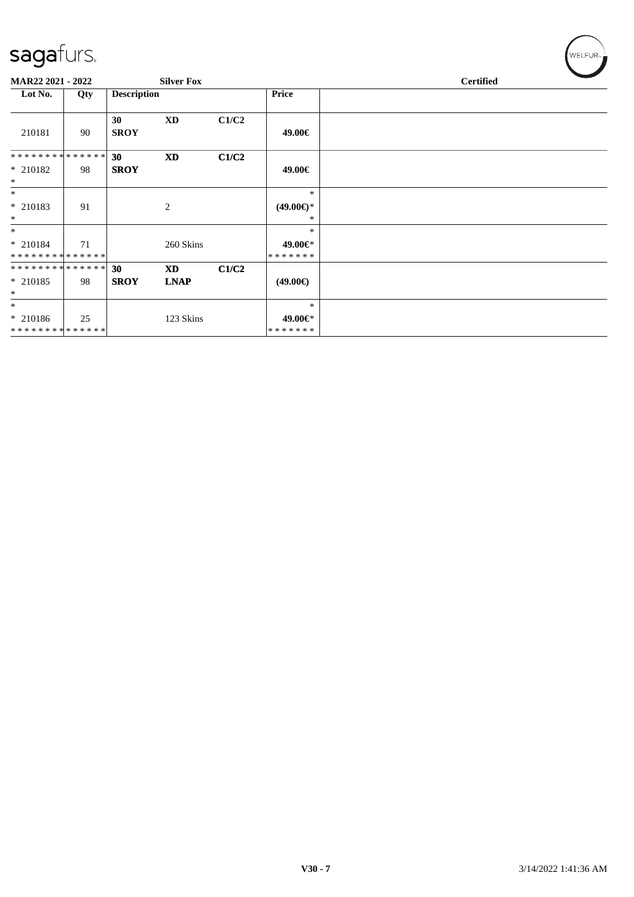| MAR22 2021 - 2022 |     |                    | <b>Silver Fox</b> |       |                     | <b>Certified</b> |  |
|-------------------|-----|--------------------|-------------------|-------|---------------------|------------------|--|
| Lot No.           | Qty | <b>Description</b> |                   |       | <b>Price</b>        |                  |  |
|                   |     |                    |                   |       |                     |                  |  |
|                   |     | 30                 | XD                | C1/C2 |                     |                  |  |
| 210181            | 90  | <b>SROY</b>        |                   |       | 49.00€              |                  |  |
|                   |     |                    |                   |       |                     |                  |  |
| **************    |     | 30 <sup>°</sup>    | <b>XD</b>         | C1/C2 |                     |                  |  |
| $*$ 210182        | 98  | <b>SROY</b>        |                   |       | 49.00€              |                  |  |
| $\ast$            |     |                    |                   |       |                     |                  |  |
| $\ast$            |     |                    |                   |       | $\ast$              |                  |  |
| * 210183          | 91  |                    | 2                 |       | $(49.00\epsilon)$ * |                  |  |
| $\ast$            |     |                    |                   |       | ∗                   |                  |  |
| $*$               |     |                    |                   |       | $\ast$              |                  |  |
| $* 210184$        | 71  |                    | 260 Skins         |       | 49.00€*             |                  |  |
| **************    |     |                    |                   |       | * * * * * * *       |                  |  |
| **************    |     | 30                 | <b>XD</b>         | C1/C2 |                     |                  |  |
| $* 210185$        | 98  | <b>SROY</b>        | <b>LNAP</b>       |       | $(49.00\epsilon)$   |                  |  |
| $\ast$            |     |                    |                   |       |                     |                  |  |
| $\ast$            |     |                    |                   |       | $\ast$              |                  |  |
| $* 210186$        | 25  |                    | 123 Skins         |       | 49.00€*             |                  |  |
| **************    |     |                    |                   |       | *******             |                  |  |

 $w$ ELFUR<sub><sup>n</sub></sub></sub></sup>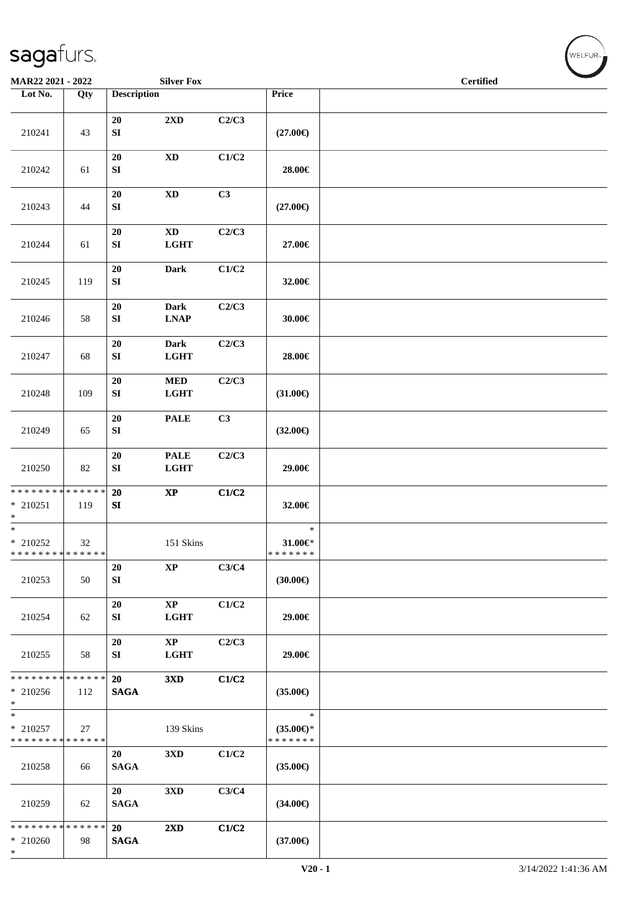| MAR22 2021 - 2022                                     |        |                            | <b>Silver Fox</b>                     |       |                                                | <b>Certified</b> | <b>Contract Contract Contract Contract Contract Contract Contract Contract Contract Contract Contract Contract Contract Contract Contract Contract Contract Contract Contract Contract Contract Contract Contract Contract Contr</b> |
|-------------------------------------------------------|--------|----------------------------|---------------------------------------|-------|------------------------------------------------|------------------|--------------------------------------------------------------------------------------------------------------------------------------------------------------------------------------------------------------------------------------|
| Lot No.                                               | Qty    | <b>Description</b>         |                                       |       | Price                                          |                  |                                                                                                                                                                                                                                      |
| 210241                                                | 43     | $20\,$<br>${\bf SI}$       | $2{\bf X}{\bf D}$                     | C2/C3 | $(27.00\epsilon)$                              |                  |                                                                                                                                                                                                                                      |
| 210242                                                | 61     | ${\bf 20}$<br>${\bf SI}$   | $\mathbf{X}\mathbf{D}$                | C1/C2 | 28.00€                                         |                  |                                                                                                                                                                                                                                      |
| 210243                                                | 44     | ${\bf 20}$<br>SI           | $\mathbf{X}\mathbf{D}$                | C3    | $(27.00\epsilon)$                              |                  |                                                                                                                                                                                                                                      |
| 210244                                                | 61     | 20<br>${\bf S}{\bf I}$     | $\mathbf{X}\mathbf{D}$<br><b>LGHT</b> | C2/C3 | 27.00€                                         |                  |                                                                                                                                                                                                                                      |
| 210245                                                | 119    | 20<br>${\bf S}{\bf I}$     | <b>Dark</b>                           | C1/C2 | 32.00€                                         |                  |                                                                                                                                                                                                                                      |
| 210246                                                | 58     | 20<br>${\bf S}{\bf I}$     | <b>Dark</b><br><b>LNAP</b>            | C2/C3 | 30.00€                                         |                  |                                                                                                                                                                                                                                      |
| 210247                                                | 68     | 20<br>${\bf S}{\bf I}$     | <b>Dark</b><br>$_{\rm LGHT}$          | C2/C3 | 28.00€                                         |                  |                                                                                                                                                                                                                                      |
| 210248                                                | 109    | 20<br>${\bf S}{\bf I}$     | $\bf MED$<br><b>LGHT</b>              | C2/C3 | $(31.00\epsilon)$                              |                  |                                                                                                                                                                                                                                      |
| 210249                                                | 65     | 20<br>${\bf S}{\bf I}$     | <b>PALE</b>                           | C3    | $(32.00\epsilon)$                              |                  |                                                                                                                                                                                                                                      |
| 210250                                                | 82     | $20\,$<br>${\bf S}{\bf I}$ | <b>PALE</b><br><b>LGHT</b>            | C2/C3 | 29.00€                                         |                  |                                                                                                                                                                                                                                      |
| * * * * * * * * * * * * * *<br>$*$ 210251<br>$\ast$   | 119    | 20<br>${\bf S}{\bf I}$     | $\bold{XP}$                           | C1/C2 | 32.00€                                         |                  |                                                                                                                                                                                                                                      |
| $\ast$<br>$*$ 210252<br>* * * * * * * * * * * * * * * | $32\,$ |                            | 151 Skins                             |       | $\ast$<br>$31.00 \in$<br>* * * * * * *         |                  |                                                                                                                                                                                                                                      |
| 210253                                                | 50     | 20<br>${\bf SI}$           | $\bold{XP}$                           | C3/C4 | $(30.00\epsilon)$                              |                  |                                                                                                                                                                                                                                      |
| 210254                                                | 62     | 20<br>SI                   | $\bold{XP}$<br><b>LGHT</b>            | C1/C2 | 29.00€                                         |                  |                                                                                                                                                                                                                                      |
| 210255                                                | 58     | 20<br>SI                   | $\mathbf{X}\mathbf{P}$<br><b>LGHT</b> | C2/C3 | 29.00€                                         |                  |                                                                                                                                                                                                                                      |
| * * * * * * * * * * * * * *<br>$* 210256$<br>$*$      | 112    | 20<br><b>SAGA</b>          | 3XD                                   | C1/C2 | $(35.00\epsilon)$                              |                  |                                                                                                                                                                                                                                      |
| $\ast$<br>$*$ 210257<br>* * * * * * * * * * * * * *   | 27     |                            | 139 Skins                             |       | $\ast$<br>$(35.00\epsilon)$ *<br>* * * * * * * |                  |                                                                                                                                                                                                                                      |
| 210258                                                | 66     | 20<br><b>SAGA</b>          | 3XD                                   | C1/C2 | $(35.00\epsilon)$                              |                  |                                                                                                                                                                                                                                      |
| 210259                                                | 62     | 20<br><b>SAGA</b>          | 3XD                                   | C3/C4 | $(34.00\epsilon)$                              |                  |                                                                                                                                                                                                                                      |
| * * * * * * * * * * * * * *<br>$* 210260$<br>$\ast$   | 98     | 20<br><b>SAGA</b>          | 2XD                                   | C1/C2 | $(37.00\epsilon)$                              |                  |                                                                                                                                                                                                                                      |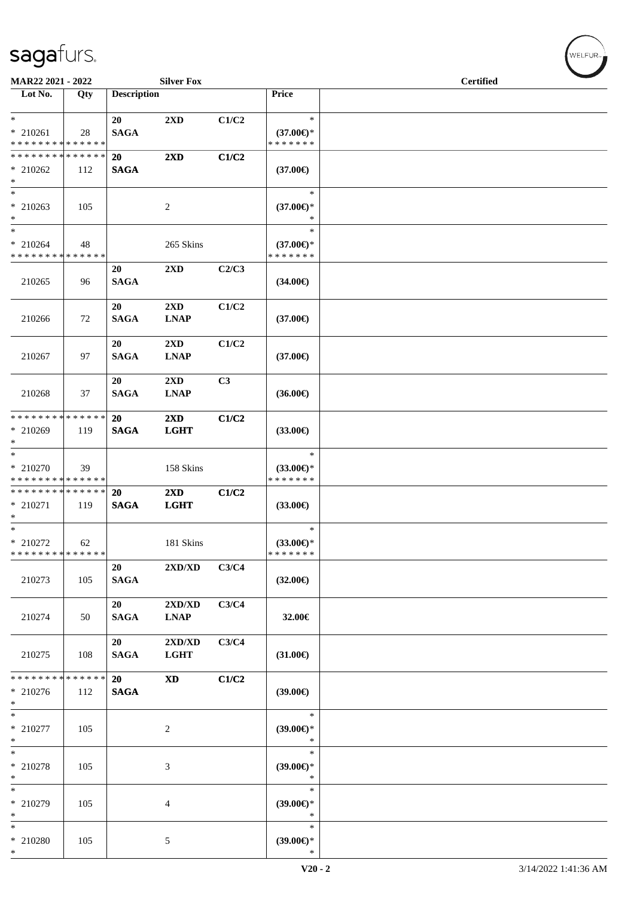| MAR22 2021 - 2022                                                |     |                          | <b>Silver Fox</b>                               |       |                                                | <b>Certified</b> |  |
|------------------------------------------------------------------|-----|--------------------------|-------------------------------------------------|-------|------------------------------------------------|------------------|--|
| Lot No.                                                          | Qty | <b>Description</b>       |                                                 |       | Price                                          |                  |  |
| $*$<br>$* 210261$<br>* * * * * * * * * * * * * *                 | 28  | 20<br><b>SAGA</b>        | 2XD                                             | C1/C2 | $\ast$<br>$(37.00\epsilon)$ *<br>* * * * * * * |                  |  |
| * * * * * * * * * * * * * * *<br>$* 210262$<br>$\ast$            | 112 | <b>20</b><br><b>SAGA</b> | 2XD                                             | C1/C2 | $(37.00\epsilon)$                              |                  |  |
| $*$<br>$*$ 210263<br>$*$                                         | 105 |                          | $\overline{c}$                                  |       | $\ast$<br>$(37.00\epsilon)$ *<br>*             |                  |  |
| $*$<br>$* 210264$<br>* * * * * * * * * * * * * *                 | 48  |                          | 265 Skins                                       |       | $\ast$<br>$(37.00\epsilon)$ *<br>* * * * * * * |                  |  |
| 210265                                                           | 96  | 20<br><b>SAGA</b>        | $2\mathbf{X}\mathbf{D}$                         | C2/C3 | $(34.00\epsilon)$                              |                  |  |
| 210266                                                           | 72  | 20<br><b>SAGA</b>        | 2XD<br><b>LNAP</b>                              | C1/C2 | $(37.00\epsilon)$                              |                  |  |
| 210267                                                           | 97  | 20<br><b>SAGA</b>        | 2XD<br><b>LNAP</b>                              | C1/C2 | $(37.00\epsilon)$                              |                  |  |
| 210268                                                           | 37  | 20<br><b>SAGA</b>        | 2XD<br><b>LNAP</b>                              | C3    | $(36.00\epsilon)$                              |                  |  |
| * * * * * * * * * * * * * * *<br>* 210269<br>$*$                 | 119 | <b>20</b><br><b>SAGA</b> | $2\mathbf{X}\mathbf{D}$<br><b>LGHT</b>          | C1/C2 | $(33.00\epsilon)$                              |                  |  |
| $\overline{\ }$<br>* 210270<br>* * * * * * * * * * * * * *       | 39  |                          | 158 Skins                                       |       | $\ast$<br>$(33.00\epsilon)$ *<br>* * * * * * * |                  |  |
| * * * * * * * * <mark>* * * * * * *</mark><br>* 210271<br>$\ast$ | 119 | 20<br><b>SAGA</b>        | $2\mathbf{X}\mathbf{D}$<br><b>LGHT</b>          | C1/C2 | $(33.00\epsilon)$                              |                  |  |
| $*$<br>$*$ 210272<br>* * * * * * * * * * * * * *                 | 62  |                          | 181 Skins                                       |       | $\ast$<br>$(33.00\epsilon)$ *<br>* * * * * * * |                  |  |
| 210273                                                           | 105 | 20<br><b>SAGA</b>        | $2{\bf X}{\bf D}/{\bf X}{\bf D}$                | C3/C4 | $(32.00\epsilon)$                              |                  |  |
| 210274                                                           | 50  | 20<br><b>SAGA</b>        | $2{\bf X}{\bf D}/{\bf X}{\bf D}$<br><b>LNAP</b> | C3/C4 | 32.00€                                         |                  |  |
| 210275                                                           | 108 | 20<br><b>SAGA</b>        | 2XD/XD<br><b>LGHT</b>                           | C3/C4 | $(31.00\epsilon)$                              |                  |  |
| * * * * * * * * * * * * * *<br>$* 210276$<br>$*$                 | 112 | 20<br><b>SAGA</b>        | <b>XD</b>                                       | C1/C2 | $(39.00\epsilon)$                              |                  |  |
| $*$<br>$*$ 210277<br>$\ast$                                      | 105 |                          | $\overline{c}$                                  |       | $\ast$<br>$(39.00\epsilon)$ *<br>$\ast$        |                  |  |
| $*$<br>* 210278<br>$*$                                           | 105 |                          | 3                                               |       | $\ast$<br>$(39.00\epsilon)$ *<br>$\ast$        |                  |  |
| $\ast$<br>* 210279<br>$*$                                        | 105 |                          | 4                                               |       | $\ast$<br>$(39.00\epsilon)$ *<br>$\ast$        |                  |  |
| $*$<br>* 210280<br>$\ast$                                        | 105 |                          | 5                                               |       | $\ast$<br>$(39.00\epsilon)$ *<br>$\ast$        |                  |  |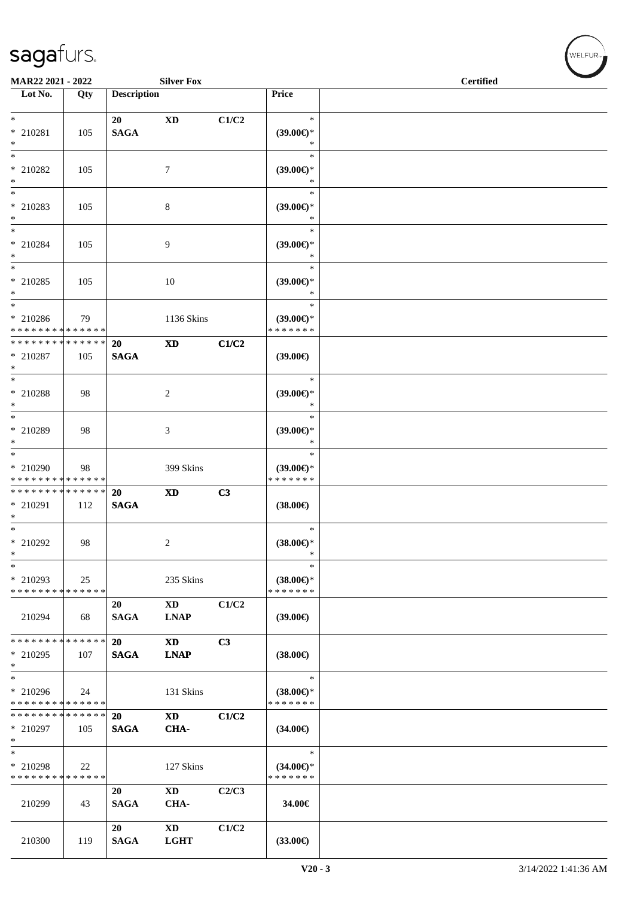| MAR22 2021 - 2022                                                |     |                          | <b>Silver Fox</b>              |       |                                                | <b>Certified</b> |  |
|------------------------------------------------------------------|-----|--------------------------|--------------------------------|-------|------------------------------------------------|------------------|--|
| Lot No.                                                          | Qty | <b>Description</b>       |                                |       | <b>Price</b>                                   |                  |  |
|                                                                  |     |                          |                                |       |                                                |                  |  |
| $*$<br>* 210281<br>$\ast$                                        | 105 | 20<br><b>SAGA</b>        | XD                             | C1/C2 | $\ast$<br>$(39.00\epsilon)$ *<br>$\ast$        |                  |  |
| $*$<br>* 210282<br>$*$                                           | 105 |                          | $\tau$                         |       | $\ast$<br>$(39.00\epsilon)$ *<br>$\ast$        |                  |  |
| $\overline{\phantom{0}}$<br>* 210283<br>$*$                      | 105 |                          | 8                              |       | $\ast$<br>(39.00)<br>$\ast$                    |                  |  |
| $\ast$<br>* 210284<br>$*$                                        | 105 |                          | 9                              |       | $\ast$<br>$(39.00\epsilon)$ *<br>$\ast$        |                  |  |
| $*$ $-$<br>* 210285<br>$\ast$                                    | 105 |                          | 10                             |       | $\ast$<br>$(39.00\epsilon)$ *<br>$\ast$        |                  |  |
| $\ast$<br>* 210286<br>* * * * * * * * * * * * * *                | 79  |                          | 1136 Skins                     |       | $\ast$<br>$(39.00\epsilon)$ *<br>* * * * * * * |                  |  |
| * * * * * * * * <mark>* * * * * *</mark><br>* 210287<br>$*$      | 105 | 20<br><b>SAGA</b>        | <b>XD</b>                      | C1/C2 | $(39.00\epsilon)$                              |                  |  |
| * 210288<br>$*$                                                  | 98  |                          | 2                              |       | $\ast$<br>$(39.00\epsilon)$ *<br>$\ast$        |                  |  |
| * 210289<br>$*$                                                  | 98  |                          | 3                              |       | $\ast$<br>$(39.00\epsilon)$ *<br>*             |                  |  |
| $*$<br>* 210290<br>* * * * * * * * * * * * * *                   | 98  |                          | 399 Skins                      |       | $\ast$<br>$(39.00\epsilon)$ *<br>* * * * * * * |                  |  |
| * * * * * * * * <mark>* * * * * * *</mark><br>* 210291<br>$\ast$ | 112 | 20<br><b>SAGA</b>        | <b>XD</b>                      | C3    | $(38.00\epsilon)$                              |                  |  |
| $*$<br>* 210292<br>*                                             | 98  |                          | 2                              |       | $\ast$<br>$(38.00\epsilon)$ *<br>$\ast$        |                  |  |
| *<br>* 210293<br>* * * * * * * * * * * * * *                     | 25  |                          | 235 Skins                      |       | $\ast$<br>$(38.00€)$ *<br>* * * * * * *        |                  |  |
| 210294                                                           | 68  | 20<br><b>SAGA</b>        | <b>XD</b><br><b>LNAP</b>       | C1/C2 | $(39.00\epsilon)$                              |                  |  |
| * * * * * * * * * * * * * *<br>$*$ 210295<br>$\ast$              | 107 | <b>20</b><br><b>SAGA</b> | <b>XD</b><br><b>LNAP</b>       | C3    | $(38.00\epsilon)$                              |                  |  |
| $_{*}$<br>* 210296<br>* * * * * * * * * * * * * *                | 24  |                          | 131 Skins                      |       | $\ast$<br>$(38.00\epsilon)$ *<br>* * * * * * * |                  |  |
| * * * * * * * * * * * * * *<br>* 210297<br>$\ast$                | 105 | 20<br><b>SAGA</b>        | $\mathbf{X}\mathbf{D}$<br>CHA- | C1/C2 | $(34.00\epsilon)$                              |                  |  |
| $*$<br>* 210298<br>* * * * * * * * * * * * * *                   | 22  |                          | 127 Skins                      |       | $\ast$<br>$(34.00\epsilon)$ *<br>* * * * * * * |                  |  |
| 210299                                                           | 43  | 20<br><b>SAGA</b>        | XD<br>CHA-                     | C2/C3 | 34.00€                                         |                  |  |
| 210300                                                           | 119 | 20<br><b>SAGA</b>        | XD<br><b>LGHT</b>              | C1/C2 | $(33.00\epsilon)$                              |                  |  |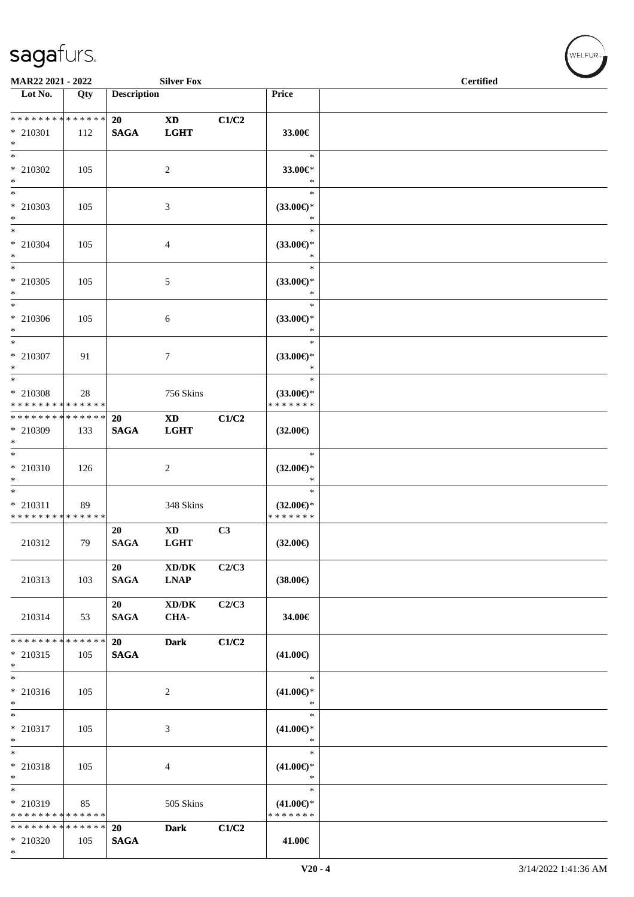|                                                           | <b>Silver Fox</b><br>MAR22 2021 - 2022 |                    |                                                    |       |                                                | <b>Certified</b> |  |
|-----------------------------------------------------------|----------------------------------------|--------------------|----------------------------------------------------|-------|------------------------------------------------|------------------|--|
| $\overline{\phantom{1}}$ Lot No.                          | Qty                                    | <b>Description</b> |                                                    |       | <b>Price</b>                                   |                  |  |
| ******** <mark>******</mark><br>* 210301<br>$*$           | 112                                    | 20<br><b>SAGA</b>  | <b>XD</b><br><b>LGHT</b>                           | C1/C2 | 33.00€                                         |                  |  |
| $*$<br>* 210302<br>$\ast$                                 | 105                                    |                    | $\boldsymbol{2}$                                   |       | $\ast$<br>33.00€*<br>$\ast$                    |                  |  |
| $\overline{\ast}$<br>* 210303<br>$*$                      | 105                                    |                    | 3                                                  |       | $\ast$<br>(33.00)<br>$\ast$                    |                  |  |
| $\ast$<br>$* 210304$<br>$*$                               | 105                                    |                    | $\overline{4}$                                     |       | $\ast$<br>$(33.00\epsilon)$ *<br>$\ast$        |                  |  |
| $*$<br>$*$ 210305<br>$*$                                  | 105                                    |                    | 5                                                  |       | $\ast$<br>$(33.00\epsilon)$ *<br>$\ast$        |                  |  |
| $\ast$<br>$*$ 210306<br>$*$<br>$\overline{\phantom{a}^*}$ | 105                                    |                    | 6                                                  |       | $\ast$<br>$(33.00\epsilon)$ *<br>$\ast$        |                  |  |
| * 210307<br>$*$                                           | 91                                     |                    | $\tau$                                             |       | $\ast$<br>$(33.00\epsilon)$ *<br>$\ast$        |                  |  |
| $*$<br>* 210308<br>* * * * * * * * * * * * * *            | 28                                     |                    | 756 Skins                                          |       | $\ast$<br>$(33.00\epsilon)$ *<br>* * * * * * * |                  |  |
| * * * * * * * * * * * * * *<br>* 210309<br>$*$            | 133                                    | 20<br><b>SAGA</b>  | <b>XD</b><br><b>LGHT</b>                           | C1/C2 | $(32.00\epsilon)$                              |                  |  |
| $\overline{\ast}$<br>$* 210310$<br>$\ast$                 | 126                                    |                    | $\overline{c}$                                     |       | $\ast$<br>$(32.00\epsilon)$ *<br>$\ast$        |                  |  |
| $*$<br>$* 210311$<br>* * * * * * * * * * * * * *          | 89                                     |                    | 348 Skins                                          |       | $\ast$<br>$(32.00\epsilon)$ *<br>* * * * * * * |                  |  |
| 210312                                                    | 79                                     | 20<br><b>SAGA</b>  | $\mathbf{X}\mathbf{D}$<br><b>LGHT</b>              | C3    | $(32.00\epsilon)$                              |                  |  |
| 210313                                                    | 103                                    | 20<br><b>SAGA</b>  | $\bold{X}\bold{D}/\bold{D}\bold{K}$<br><b>LNAP</b> | C2/C3 | $(38.00\epsilon)$                              |                  |  |
| 210314                                                    | 53                                     | 20<br><b>SAGA</b>  | $\bold{X}\bold{D}/\bold{D}\bold{K}$<br>CHA-        | C2/C3 | 34.00€                                         |                  |  |
| ******** <mark>******</mark><br>* 210315<br>$*$           | 105                                    | 20<br><b>SAGA</b>  | <b>Dark</b>                                        | C1/C2 | $(41.00\epsilon)$                              |                  |  |
| $\overline{\phantom{1}}$<br>$* 210316$<br>$*$             | 105                                    |                    | 2                                                  |       | $\ast$<br>$(41.00\epsilon)$ *<br>$\ast$        |                  |  |
| $*$<br>$* 210317$<br>$*$                                  | 105                                    |                    | $\mathfrak{Z}$                                     |       | $\ast$<br>$(41.00\epsilon)$ *<br>$\ast$        |                  |  |
| $\ast$<br>$* 210318$<br>$\ast$                            | 105                                    |                    | 4                                                  |       | $\ast$<br>$(41.00\epsilon)$ *<br>$\ast$        |                  |  |
| $\ast$<br>* 210319<br>* * * * * * * * * * * * * *         | 85                                     |                    | 505 Skins                                          |       | $\ast$<br>$(41.00\epsilon)$ *<br>* * * * * * * |                  |  |
| * * * * * * * * * * * * * *<br>* 210320<br>$*$            | 105                                    | 20<br><b>SAGA</b>  | <b>Dark</b>                                        | C1/C2 | 41.00€                                         |                  |  |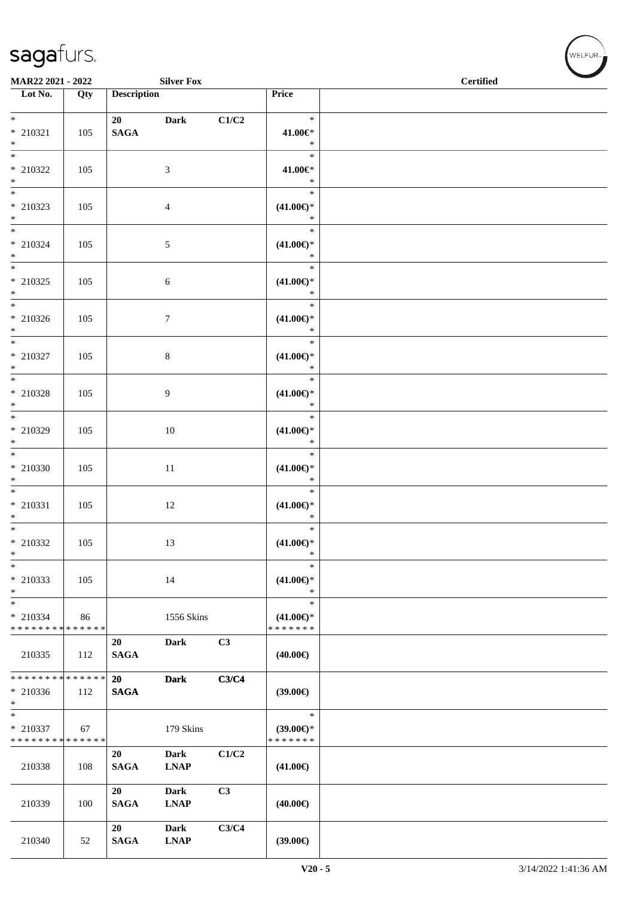| <b>Silver Fox</b><br>MAR22 2021 - 2022            |     |                    |                            |       | <b>Certified</b>                               |  |  |
|---------------------------------------------------|-----|--------------------|----------------------------|-------|------------------------------------------------|--|--|
| $\overline{\phantom{1}}$ Lot No.                  | Qty | <b>Description</b> |                            |       | Price                                          |  |  |
| $*$<br>$*$ 210321<br>$\ast$                       | 105 | 20<br><b>SAGA</b>  | <b>Dark</b>                | C1/C2 | $\ast$<br>41.00€*<br>$\ast$                    |  |  |
| $\overline{\phantom{0}}$<br>* 210322<br>$*$       | 105 |                    | 3                          |       | $\ast$<br>41.00€*<br>$\ast$                    |  |  |
| $*$<br>* 210323<br>$*$                            | 105 |                    | 4                          |       | $\ast$<br>$(41.00\epsilon)$ *<br>$\ast$        |  |  |
| $*$<br>$* 210324$<br>$*$                          | 105 |                    | 5                          |       | $\ast$<br>$(41.00\epsilon)$ *<br>$\ast$        |  |  |
| $*$<br>$* 210325$<br>$*$                          | 105 |                    | 6                          |       | $\ast$<br>$(41.00\epsilon)$ *<br>$\ast$        |  |  |
| $* 210326$<br>$*$                                 | 105 |                    | 7                          |       | $\ast$<br>$(41.00\epsilon)$ *<br>$\ast$        |  |  |
| $*$<br>* 210327<br>$*$                            | 105 |                    | 8                          |       | $\ast$<br>$(41.00\epsilon)$ *<br>$\ast$        |  |  |
| * 210328<br>$*$                                   | 105 |                    | 9                          |       | $\ast$<br>$(41.00\epsilon)$ *<br>$\ast$        |  |  |
| * 210329<br>$*$                                   | 105 |                    | 10                         |       | $\ast$<br>$(41.00\epsilon)$ *<br>$\ast$        |  |  |
| $\overline{\ast}$<br>* 210330<br>$*$              | 105 |                    | 11                         |       | $\ast$<br>$(41.00\epsilon)$ *<br>$\ast$        |  |  |
| $*$<br>$* 210331$<br>$*$                          | 105 |                    | 12                         |       | $\ast$<br>$(41.00\epsilon)$ *<br>$\ast$        |  |  |
| * 210332<br>$\ast$                                | 105 |                    | 13                         |       | $\ast$<br>$(41.00\epsilon)$ *<br>$\ast$        |  |  |
| $\ast$<br>* 210333<br>$*$                         | 105 |                    | 14                         |       | $\ast$<br>$(41.00\epsilon)$ *<br>$\ast$        |  |  |
| $\ast$<br>* 210334<br>* * * * * * * * * * * * * * | 86  |                    | 1556 Skins                 |       | $\ast$<br>$(41.00\epsilon)$ *<br>* * * * * * * |  |  |
| 210335                                            | 112 | 20<br><b>SAGA</b>  | <b>Dark</b>                | C3    | $(40.00\epsilon)$                              |  |  |
| * * * * * * * * * * * * * * *<br>* 210336<br>$*$  | 112 | 20<br><b>SAGA</b>  | <b>Dark</b>                | C3/C4 | $(39.00\epsilon)$                              |  |  |
| $*$<br>* 210337<br>* * * * * * * * * * * * * *    | 67  |                    | 179 Skins                  |       | $\ast$<br>$(39.00\epsilon)$ *<br>* * * * * * * |  |  |
| 210338                                            | 108 | 20<br><b>SAGA</b>  | <b>Dark</b><br><b>LNAP</b> | C1/C2 | $(41.00\epsilon)$                              |  |  |
| 210339                                            | 100 | 20<br><b>SAGA</b>  | Dark<br><b>LNAP</b>        | C3    | $(40.00\epsilon)$                              |  |  |
| 210340                                            | 52  | 20<br><b>SAGA</b>  | Dark<br><b>LNAP</b>        | C3/C4 | (39.00)                                        |  |  |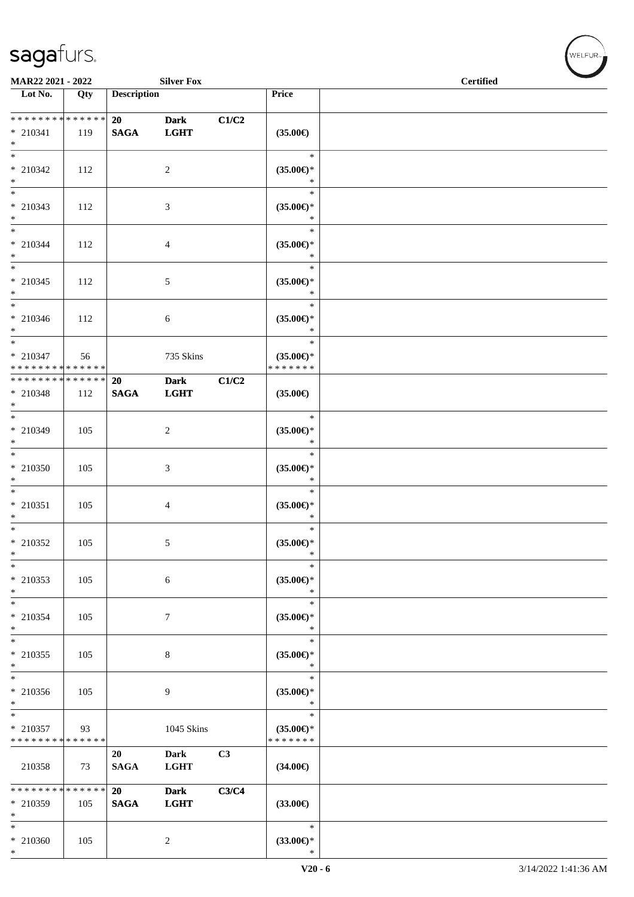| <b>Silver Fox</b><br>MAR22 2021 - 2022                                |               |                    |                            |                |                                                | <b>Certified</b> |  |
|-----------------------------------------------------------------------|---------------|--------------------|----------------------------|----------------|------------------------------------------------|------------------|--|
| Lot No.                                                               | Qty           | <b>Description</b> |                            |                | Price                                          |                  |  |
| * * * * * * * * * * * * * *                                           |               | 20                 | <b>Dark</b>                | C1/C2          |                                                |                  |  |
| $* 210341$<br>$*$                                                     | 119           | <b>SAGA</b>        | <b>LGHT</b>                |                | $(35.00\epsilon)$                              |                  |  |
| $\overline{\ast}$<br>$* 210342$<br>$*$                                | 112           |                    | $\overline{c}$             |                | $\ast$<br>$(35.00\epsilon)$ *<br>$\ast$        |                  |  |
| $\overline{\phantom{0}}$<br>* 210343<br>$*$                           | 112           |                    | 3                          |                | $\ast$<br>$(35.00\epsilon)$ *<br>$\ast$        |                  |  |
| $*$<br>* 210344<br>$*$                                                | 112           |                    | 4                          |                | $\ast$<br>$(35.00\epsilon)$ *<br>$\ast$        |                  |  |
| $*$<br>$* 210345$<br>$*$                                              | 112           |                    | 5                          |                | $\ast$<br>$(35.00\epsilon)$ *<br>$\ast$        |                  |  |
| $*$<br>$* 210346$<br>$*$                                              | 112           |                    | 6                          |                | $\ast$<br>$(35.00\epsilon)$ *<br>$\ast$        |                  |  |
| $\overline{\phantom{0}}$<br>$*$ 210347<br>* * * * * * * * * * * * * * | 56            |                    | 735 Skins                  |                | $\ast$<br>$(35.00\epsilon)$ *<br>* * * * * * * |                  |  |
| * * * * * * * *<br>* 210348<br>$\ast$                                 | ******<br>112 | 20<br><b>SAGA</b>  | <b>Dark</b><br><b>LGHT</b> | C1/C2          | $(35.00\epsilon)$                              |                  |  |
| * 210349<br>$*$                                                       | 105           |                    | 2                          |                | $\ast$<br>$(35.00\epsilon)$ *<br>$\ast$        |                  |  |
| $*$<br>$*$ 210350<br>$*$                                              | 105           |                    | 3                          |                | $\ast$<br>$(35.00\epsilon)$ *<br>$\ast$        |                  |  |
| $*$<br>$* 210351$<br>$*$                                              | 105           |                    | 4                          |                | $\ast$<br>$(35.00\epsilon)$ *<br>$\ast$        |                  |  |
| $*$<br>$*$ 210352<br>$\ast$                                           | 105           |                    | 5                          |                | $\ast$<br>$(35.00\epsilon)$ *<br>$\ast$        |                  |  |
| $\ast$<br>* 210353<br>$*$                                             | 105           |                    | 6                          |                | $\ast$<br>$(35.00\epsilon)$ *<br>$\ast$        |                  |  |
| $*$<br>* 210354<br>$\ast$                                             | 105           |                    | 7                          |                | $\ast$<br>$(35.00\epsilon)$ *<br>$\ast$        |                  |  |
| $\overline{\ast}$<br>$*$ 210355<br>$\ast$                             | 105           |                    | $\,8\,$                    |                | $\ast$<br>$(35.00\epsilon)$ *<br>$\ast$        |                  |  |
| $\overline{\ast}$<br>$* 210356$<br>$*$                                | 105           |                    | 9                          |                | $\ast$<br>$(35.00\epsilon)$ *<br>$\ast$        |                  |  |
| $\ast$<br>$* 210357$<br>* * * * * * * * * * * * * *                   | 93            |                    | 1045 Skins                 |                | $\ast$<br>$(35.00\epsilon)$ *<br>* * * * * * * |                  |  |
| 210358                                                                | 73            | 20<br><b>SAGA</b>  | <b>Dark</b><br><b>LGHT</b> | C <sub>3</sub> | $(34.00\epsilon)$                              |                  |  |
| ******** <mark>******</mark><br>* 210359<br>$*$                       | 105           | 20<br><b>SAGA</b>  | <b>Dark</b><br><b>LGHT</b> | C3/C4          | $(33.00\epsilon)$                              |                  |  |
| $*$<br>$* 210360$<br>$*$                                              | 105           |                    | $\overline{c}$             |                | $\ast$<br>$(33.00\epsilon)$ *<br>$\ast$        |                  |  |

 $(w$ ELFUR<sub><sup>n</sub></sub></sub></sup>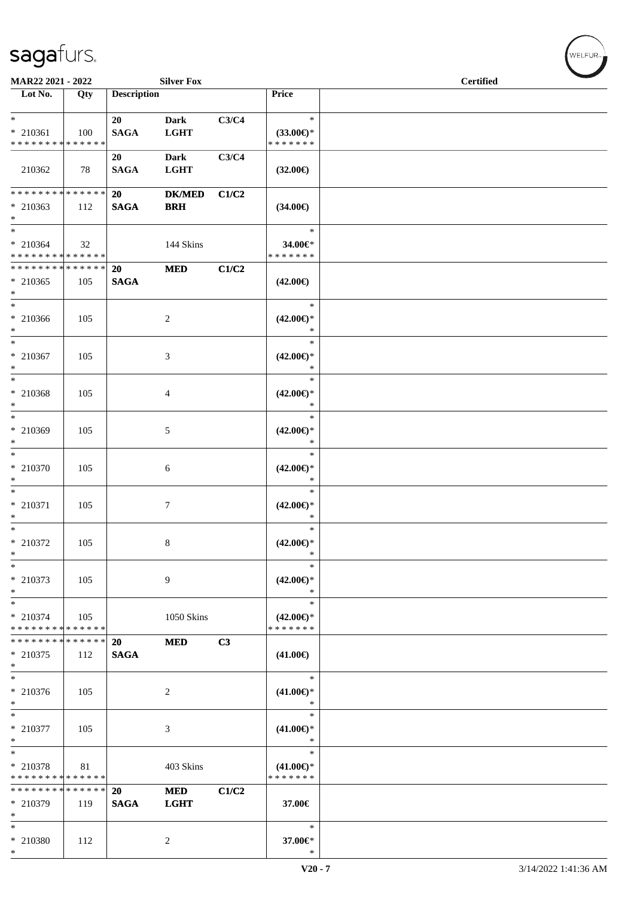| MAR22 2021 - 2022                                  |               |                    | <b>Silver Fox</b>           |       |                                                | <b>Certified</b> |  |
|----------------------------------------------------|---------------|--------------------|-----------------------------|-------|------------------------------------------------|------------------|--|
| $\overline{\phantom{1}}$ Lot No.                   | Qty           | <b>Description</b> |                             |       | Price                                          |                  |  |
| $*$<br>* 210361<br>* * * * * * * * * * * * * *     | 100           | 20<br><b>SAGA</b>  | <b>Dark</b><br><b>LGHT</b>  | C3/C4 | $\ast$<br>$(33.00\epsilon)$ *<br>* * * * * * * |                  |  |
| 210362                                             | 78            | 20<br><b>SAGA</b>  | <b>Dark</b><br><b>LGHT</b>  | C3/C4 | $(32.00\epsilon)$                              |                  |  |
| * * * * * * * * * * * * * * *<br>$* 210363$<br>$*$ | 112           | 20<br><b>SAGA</b>  | <b>DK/MED</b><br><b>BRH</b> | C1/C2 | $(34.00\epsilon)$                              |                  |  |
| $*$<br>$* 210364$<br>* * * * * * * * * * * * * *   | 32            |                    | 144 Skins                   |       | $\ast$<br>34.00€*<br>* * * * * * *             |                  |  |
| * * * * * * * * * * * * * *<br>* 210365<br>$*$     | 105           | 20<br><b>SAGA</b>  | <b>MED</b>                  | C1/C2 | $(42.00\epsilon)$                              |                  |  |
| $*$<br>* 210366<br>$*$                             | 105           |                    | $\overline{c}$              |       | $\ast$<br>$(42.00\epsilon)$ *<br>$\ast$        |                  |  |
| $*$<br>$* 210367$<br>$\ast$                        | 105           |                    | 3                           |       | $\ast$<br>$(42.00\epsilon)$ *<br>$\ast$        |                  |  |
| $\overline{\ast}$<br>* 210368<br>$*$               | 105           |                    | 4                           |       | $\ast$<br>$(42.00\epsilon)$ *<br>$\ast$        |                  |  |
| $*$<br>* 210369<br>$*$                             | 105           |                    | 5                           |       | $\ast$<br>$(42.00\epsilon)$ *<br>$\ast$        |                  |  |
| $*$<br>* 210370<br>$\ast$                          | 105           |                    | 6                           |       | $\ast$<br>$(42.00\epsilon)$ *<br>$\ast$        |                  |  |
| $*$<br>* 210371<br>$*$                             | 105           |                    | $\tau$                      |       | $\ast$<br>$(42.00\epsilon)$ *<br>$\ast$        |                  |  |
| $*$<br>$*$ 210372<br>$\ast$                        | 105           |                    | 8                           |       | $\ast$<br>$(42.00\epsilon)$ *<br>$\ast$        |                  |  |
| $\ast$<br>* 210373<br>$\ast$                       | 105           |                    | 9                           |       | $\ast$<br>$(42.00\epsilon)$ *<br>$\ast$        |                  |  |
| $*$<br>* 210374<br>* * * * * * * * * * * * * *     | 105           |                    | 1050 Skins                  |       | $\ast$<br>$(42.00\epsilon)$ *<br>* * * * * * * |                  |  |
| * * * * * * * * * * * * * *<br>$* 210375$<br>$*$   | 112           | 20<br><b>SAGA</b>  | <b>MED</b>                  | C3    | $(41.00\epsilon)$                              |                  |  |
| $*$<br>$* 210376$<br>$\ast$                        | 105           |                    | $\overline{c}$              |       | $\ast$<br>$(41.00\epsilon)$ *<br>$\ast$        |                  |  |
| * 210377<br>$*$                                    | 105           |                    | 3                           |       | $\ast$<br>$(41.00\epsilon)$ *<br>$\ast$        |                  |  |
| $\ast$<br>* 210378<br>* * * * * * * * * * * * * *  | 81            |                    | 403 Skins                   |       | $\ast$<br>$(41.00\epsilon)$ *<br>* * * * * * * |                  |  |
| * * * * * * * *<br>* 210379<br>$*$                 | ******<br>119 | 20<br><b>SAGA</b>  | <b>MED</b><br><b>LGHT</b>   | C1/C2 | 37.00€                                         |                  |  |
| $*$<br>* 210380<br>$*$                             | 112           |                    | $\overline{c}$              |       | $\ast$<br>37.00€*<br>$\ast$                    |                  |  |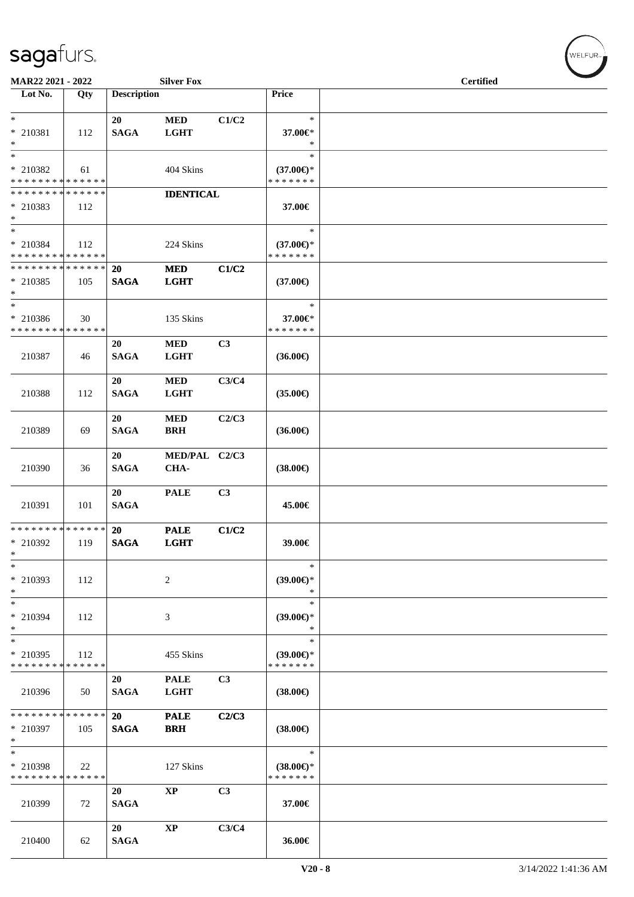| MAR22 2021 - 2022                          |     |                    | <b>Silver Fox</b> | $\overline{\phantom{0}}$<br><b>Certified</b> |                                      |  |
|--------------------------------------------|-----|--------------------|-------------------|----------------------------------------------|--------------------------------------|--|
| Lot No.                                    | Qty | <b>Description</b> |                   |                                              | Price                                |  |
|                                            |     |                    |                   |                                              |                                      |  |
| $*$                                        |     | 20                 | <b>MED</b>        | C1/C2                                        | $\ast$                               |  |
| * 210381                                   |     | <b>SAGA</b>        | <b>LGHT</b>       |                                              | 37.00€*                              |  |
| $*$                                        | 112 |                    |                   |                                              | $\ast$                               |  |
|                                            |     |                    |                   |                                              | $\ast$                               |  |
|                                            |     |                    |                   |                                              |                                      |  |
| * 210382                                   | 61  |                    | 404 Skins         |                                              | $(37.00\epsilon)$ *                  |  |
| * * * * * * * * <mark>* * * * * * *</mark> |     |                    |                   |                                              | * * * * * * *                        |  |
| * * * * * * * * * * * * * *                |     |                    | <b>IDENTICAL</b>  |                                              |                                      |  |
| * 210383                                   | 112 |                    |                   |                                              | 37.00€                               |  |
| $*$                                        |     |                    |                   |                                              |                                      |  |
| $\overline{\phantom{0}}$                   |     |                    |                   |                                              | $\ast$                               |  |
| * 210384                                   | 112 |                    | 224 Skins         |                                              | $(37.00\epsilon)$ *                  |  |
| * * * * * * * * * * * * * *                |     |                    |                   |                                              | * * * * * * *                        |  |
| * * * * * * * * <mark>* * * * * * *</mark> |     | <b>20</b>          | <b>MED</b>        | C1/C2                                        |                                      |  |
| * 210385                                   | 105 | <b>SAGA</b>        | <b>LGHT</b>       |                                              | $(37.00\epsilon)$                    |  |
| $*$                                        |     |                    |                   |                                              |                                      |  |
| $\ast$                                     |     |                    |                   |                                              | $\ast$                               |  |
|                                            |     |                    |                   |                                              |                                      |  |
| * 210386                                   | 30  |                    | 135 Skins         |                                              | 37.00€*                              |  |
| * * * * * * * * * * * * * *                |     |                    |                   |                                              | * * * * * * *                        |  |
|                                            |     | 20                 | <b>MED</b>        | C <sub>3</sub>                               |                                      |  |
| 210387                                     | 46  | <b>SAGA</b>        | <b>LGHT</b>       |                                              | $(36.00\epsilon)$                    |  |
|                                            |     |                    |                   |                                              |                                      |  |
|                                            |     | 20                 | <b>MED</b>        | C3/C4                                        |                                      |  |
| 210388                                     | 112 | <b>SAGA</b>        | <b>LGHT</b>       |                                              | $(35.00\in)$                         |  |
|                                            |     |                    |                   |                                              |                                      |  |
|                                            |     | 20                 | <b>MED</b>        | C2/C3                                        |                                      |  |
| 210389                                     | 69  | <b>SAGA</b>        | <b>BRH</b>        |                                              | $(36.00\epsilon)$                    |  |
|                                            |     |                    |                   |                                              |                                      |  |
|                                            |     |                    |                   |                                              |                                      |  |
|                                            |     | 20                 | MED/PAL C2/C3     |                                              |                                      |  |
| 210390                                     | 36  | <b>SAGA</b>        | CHA-              |                                              | $(38.00\epsilon)$                    |  |
|                                            |     |                    |                   |                                              |                                      |  |
|                                            |     | 20                 | <b>PALE</b>       | C3                                           |                                      |  |
| 210391                                     | 101 | <b>SAGA</b>        |                   |                                              | 45.00€                               |  |
|                                            |     |                    |                   |                                              |                                      |  |
| * * * * * * * * * * * * * *                |     | 20                 | <b>PALE</b>       | C1/C2                                        |                                      |  |
| * 210392                                   | 119 | <b>SAGA</b>        | <b>LGHT</b>       |                                              | 39.00€                               |  |
| *                                          |     |                    |                   |                                              |                                      |  |
| $\ast$                                     |     |                    |                   |                                              | $\ast$                               |  |
| * 210393                                   | 112 |                    | $\overline{c}$    |                                              | $(39.00€)$ *                         |  |
| $\ast$                                     |     |                    |                   |                                              | $\ast$                               |  |
| $*$                                        |     |                    |                   |                                              | $\ast$                               |  |
|                                            |     |                    |                   |                                              |                                      |  |
| * 210394                                   | 112 |                    | 3                 |                                              | $(39.00\epsilon)$ *                  |  |
| $*$                                        |     |                    |                   |                                              | ∗                                    |  |
| $*$                                        |     |                    |                   |                                              | $\ast$                               |  |
| * 210395                                   | 112 |                    | 455 Skins         |                                              | $(39.00€)$ *                         |  |
| * * * * * * * * * * * * * *                |     |                    |                   |                                              | * * * * * * *                        |  |
|                                            |     | 20                 | <b>PALE</b>       | C <sub>3</sub>                               |                                      |  |
| 210396                                     | 50  | <b>SAGA</b>        | <b>LGHT</b>       |                                              | $(38.00\epsilon)$                    |  |
|                                            |     |                    |                   |                                              |                                      |  |
| * * * * * * * * <mark>* * * * * * *</mark> |     | 20                 | <b>PALE</b>       | C2/C3                                        |                                      |  |
| * 210397                                   | 105 | <b>SAGA</b>        | <b>BRH</b>        |                                              | $(38.00\epsilon)$                    |  |
| $*$                                        |     |                    |                   |                                              |                                      |  |
| $*$                                        |     |                    |                   |                                              | $\ast$                               |  |
| * 210398                                   |     |                    |                   |                                              |                                      |  |
| * * * * * * * * * * * * * *                | 22  |                    | 127 Skins         |                                              | $(38.00\epsilon)$ *<br>* * * * * * * |  |
|                                            |     |                    |                   |                                              |                                      |  |
|                                            |     | 20                 | $\bold{XP}$       | C3                                           |                                      |  |
| 210399                                     | 72  | <b>SAGA</b>        |                   |                                              | 37.00€                               |  |
|                                            |     |                    |                   |                                              |                                      |  |
|                                            |     | 20                 | $\bold{XP}$       | C3/C4                                        |                                      |  |
| 210400                                     | 62  | <b>SAGA</b>        |                   |                                              | 36.00€                               |  |
|                                            |     |                    |                   |                                              |                                      |  |

 $w$ ELFUR<sub>m</sub>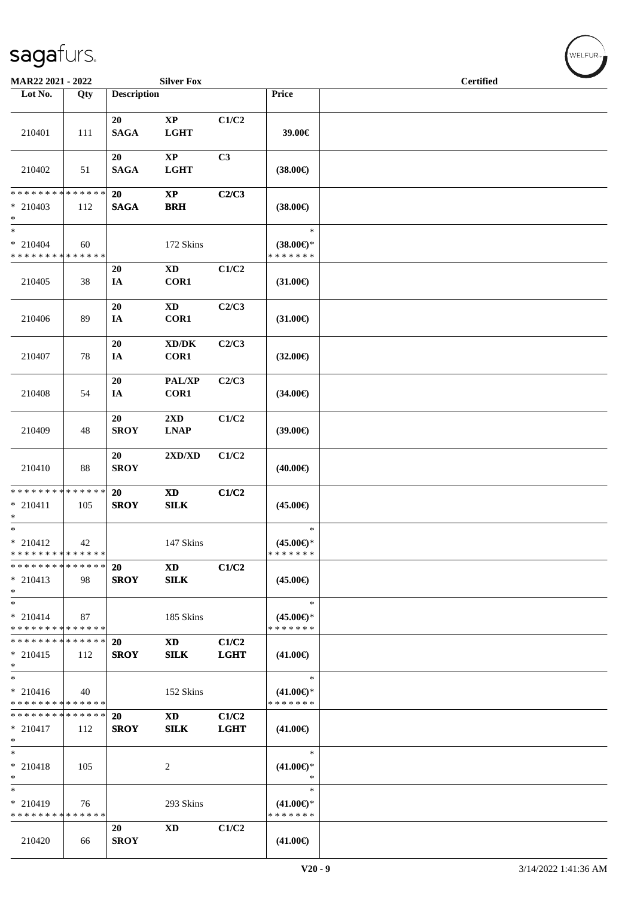| <b>MAR22 2021 - 2022</b>                            |     |                       | <b>Silver Fox</b>                           |                      |                                                | <b>Certified</b> |
|-----------------------------------------------------|-----|-----------------------|---------------------------------------------|----------------------|------------------------------------------------|------------------|
| Lot No.                                             | Qty | <b>Description</b>    |                                             |                      | Price                                          |                  |
| 210401                                              | 111 | 20<br><b>SAGA</b>     | $\bold{XP}$<br><b>LGHT</b>                  | C1/C2                | 39.00€                                         |                  |
| 210402                                              | 51  | 20<br><b>SAGA</b>     | $\bold{XP}$<br><b>LGHT</b>                  | C <sub>3</sub>       | $(38.00\epsilon)$                              |                  |
| * * * * * * * * * * * * * *<br>* 210403<br>$*$      | 112 | 20<br>$\mathbf{SAGA}$ | $\bold{XP}$<br><b>BRH</b>                   | C2/C3                | $(38.00\epsilon)$                              |                  |
| $\ast$<br>$*$ 210404<br>* * * * * * * * * * * * * * | 60  |                       | 172 Skins                                   |                      | $\ast$<br>$(38.00\epsilon)$ *<br>* * * * * * * |                  |
| 210405                                              | 38  | 20<br>IA              | $\mathbf{X}\mathbf{D}$<br>COR1              | C1/C2                | $(31.00\epsilon)$                              |                  |
| 210406                                              | 89  | 20<br>IA              | $\mathbf{X}\mathbf{D}$<br>COR1              | C2/C3                | $(31.00\epsilon)$                              |                  |
| 210407                                              | 78  | 20<br>IA              | $\bold{X}\bold{D}/\bold{D}\bold{K}$<br>COR1 | C2/C3                | $(32.00\epsilon)$                              |                  |
| 210408                                              | 54  | 20<br>IA              | PAL/XP<br>COR1                              | C2/C3                | $(34.00\epsilon)$                              |                  |
| 210409                                              | 48  | 20<br><b>SROY</b>     | 2XD<br><b>LNAP</b>                          | C1/C2                | (39.00)                                        |                  |
| 210410                                              | 88  | 20<br><b>SROY</b>     | 2XD/XD                                      | C1/C2                | $(40.00\epsilon)$                              |                  |
| * * * * * * * * * * * * * *<br>$* 210411$<br>$*$    | 105 | 20<br><b>SROY</b>     | $\boldsymbol{\mathrm{XD}}$<br>${\bf SILK}$  | C1/C2                | $(45.00\epsilon)$                              |                  |
| $*$<br>$* 210412$<br>* * * * * * * * * * * * * * *  | 42  |                       | 147 Skins                                   |                      | $\ast$<br>$(45.00\epsilon)$ *<br>*******       |                  |
| * * * * * * * * * * * * * * *<br>$* 210413$<br>$*$  | 98  | 20<br><b>SROY</b>     | <b>XD</b><br><b>SILK</b>                    | C1/C2                | $(45.00\epsilon)$                              |                  |
| $*$<br>$* 210414$<br>* * * * * * * * * * * * * *    | 87  |                       | 185 Skins                                   |                      | $\ast$<br>$(45.00\epsilon)$ *<br>* * * * * * * |                  |
| * * * * * * * * * * * * * *<br>$* 210415$<br>$*$    | 112 | 20<br><b>SROY</b>     | <b>XD</b><br><b>SILK</b>                    | C1/C2<br><b>LGHT</b> | $(41.00\epsilon)$                              |                  |
| $*$<br>$* 210416$<br>* * * * * * * * * * * * * *    | 40  |                       | 152 Skins                                   |                      | $\ast$<br>$(41.00\epsilon)$ *<br>* * * * * * * |                  |
| * * * * * * * * * * * * * *<br>$* 210417$<br>$*$    | 112 | 20<br><b>SROY</b>     | <b>XD</b><br><b>SILK</b>                    | C1/C2<br><b>LGHT</b> | $(41.00\epsilon)$                              |                  |
| $*$<br>$* 210418$<br>$*$                            | 105 |                       | 2                                           |                      | $\ast$<br>$(41.00\epsilon)$ *<br>$\ast$        |                  |
| $*$<br>* 210419<br>* * * * * * * * * * * * * *      | 76  |                       | 293 Skins                                   |                      | $\ast$<br>$(41.00\epsilon)$ *<br>* * * * * * * |                  |
| 210420                                              | 66  | 20<br><b>SROY</b>     | XD                                          | C1/C2                | $(41.00\epsilon)$                              |                  |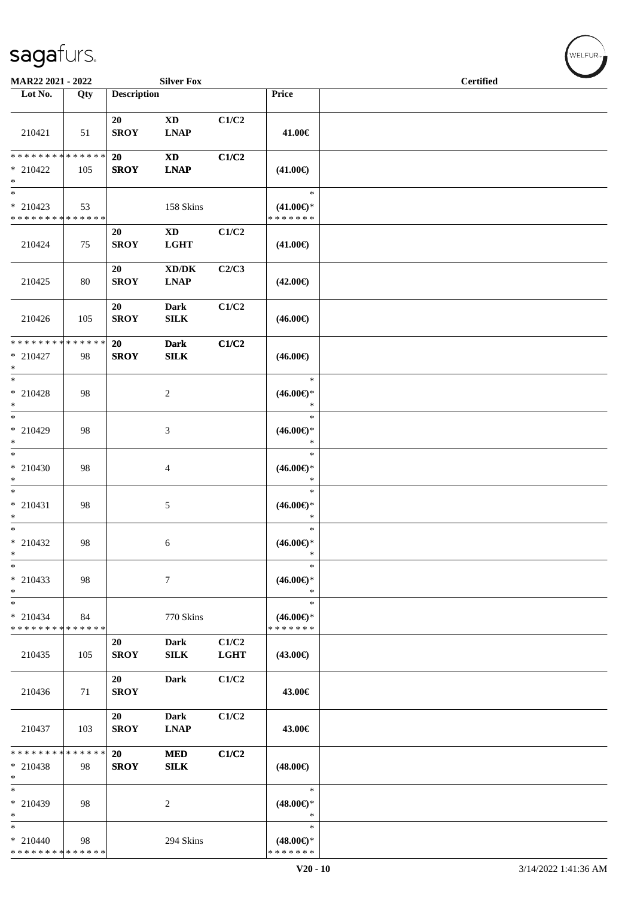| MAR22 2021 - 2022                                    |                   |                    | <b>Silver Fox</b>                                  |                      |                                                | <b>Certified</b> |  |
|------------------------------------------------------|-------------------|--------------------|----------------------------------------------------|----------------------|------------------------------------------------|------------------|--|
| Lot No.                                              | Qty               | <b>Description</b> |                                                    |                      | Price                                          |                  |  |
| 210421                                               | 51                | 20<br><b>SROY</b>  | $\mathbf{X}\mathbf{D}$<br><b>LNAP</b>              | C1/C2                | 41.00€                                         |                  |  |
| * * * * * * * * * * * * * *<br>$*$ 210422<br>$*$     | 105               | 20<br><b>SROY</b>  | <b>XD</b><br><b>LNAP</b>                           | C1/C2                | $(41.00\epsilon)$                              |                  |  |
| $\ast$<br>$* 210423$<br>* * * * * * * * * * * * * *  | 53                |                    | 158 Skins                                          |                      | $\ast$<br>$(41.00\epsilon)$ *<br>*******       |                  |  |
| 210424                                               | 75                | 20<br><b>SROY</b>  | $\mathbf{X}\mathbf{D}$<br><b>LGHT</b>              | C1/C2                | $(41.00\epsilon)$                              |                  |  |
| 210425                                               | 80                | 20<br><b>SROY</b>  | $\bold{X}\bold{D}/\bold{D}\bold{K}$<br><b>LNAP</b> | C2/C3                | $(42.00\epsilon)$                              |                  |  |
| 210426                                               | 105               | 20<br><b>SROY</b>  | <b>Dark</b><br>${\bf SILK}$                        | C1/C2                | $(46.00\epsilon)$                              |                  |  |
| * * * * * * * *<br>$* 210427$<br>$\ast$              | ******<br>98      | 20<br><b>SROY</b>  | <b>Dark</b><br><b>SILK</b>                         | C1/C2                | $(46.00\epsilon)$                              |                  |  |
| $*$<br>$*$ 210428<br>$\ast$                          | 98                |                    | $\overline{c}$                                     |                      | $\ast$<br>$(46.00\epsilon)$ *<br>$\ast$        |                  |  |
| $*$<br>* 210429<br>$*$                               | 98                |                    | 3                                                  |                      | $\ast$<br>$(46.00\epsilon)$ *<br>$\ast$        |                  |  |
| $*$<br>$* 210430$<br>$\ast$                          | 98                |                    | $\overline{4}$                                     |                      | $\ast$<br>$(46.00\epsilon)$ *<br>$\ast$        |                  |  |
| $*$<br>$* 210431$<br>$*$                             | 98                |                    | 5                                                  |                      | $\ast$<br>$(46.00\epsilon)$ *<br>$\ast$        |                  |  |
| $*$<br>$*$ 210432<br>$\ast$                          | 98                |                    | 6                                                  |                      | $\ast$<br>$(46.00\epsilon)$ *<br>$\ast$        |                  |  |
| $\ast$<br>* 210433<br>$\ast$                         | 98                |                    | 7                                                  |                      | $\ast$<br>$(46.00\epsilon)$ *<br>$\ast$        |                  |  |
| $\ast$<br>* 210434<br>* * * * * * * *                | 84<br>* * * * * * |                    | 770 Skins                                          |                      | $\ast$<br>$(46.00\epsilon)$ *<br>* * * * * * * |                  |  |
| 210435                                               | 105               | 20<br><b>SROY</b>  | <b>Dark</b><br>SILK                                | C1/C2<br><b>LGHT</b> | $(43.00\epsilon)$                              |                  |  |
| 210436                                               | 71                | 20<br><b>SROY</b>  | <b>Dark</b>                                        | C1/C2                | 43.00€                                         |                  |  |
| 210437                                               | 103               | 20<br><b>SROY</b>  | <b>Dark</b><br><b>LNAP</b>                         | C1/C2                | 43.00€                                         |                  |  |
| * * * * * * * * * * * * * *<br>$*$ 210438<br>$*$     | 98                | 20<br><b>SROY</b>  | <b>MED</b><br>SLK                                  | C1/C2                | $(48.00\epsilon)$                              |                  |  |
| $*$<br>* 210439<br>$*$                               | 98                |                    | $\overline{c}$                                     |                      | $\ast$<br>$(48.00\epsilon)$ *<br>$\ast$        |                  |  |
| $\ast$<br>$* 210440$<br>******** <mark>******</mark> | 98                |                    | 294 Skins                                          |                      | $\ast$<br>$(48.00\epsilon)$ *<br>* * * * * * * |                  |  |